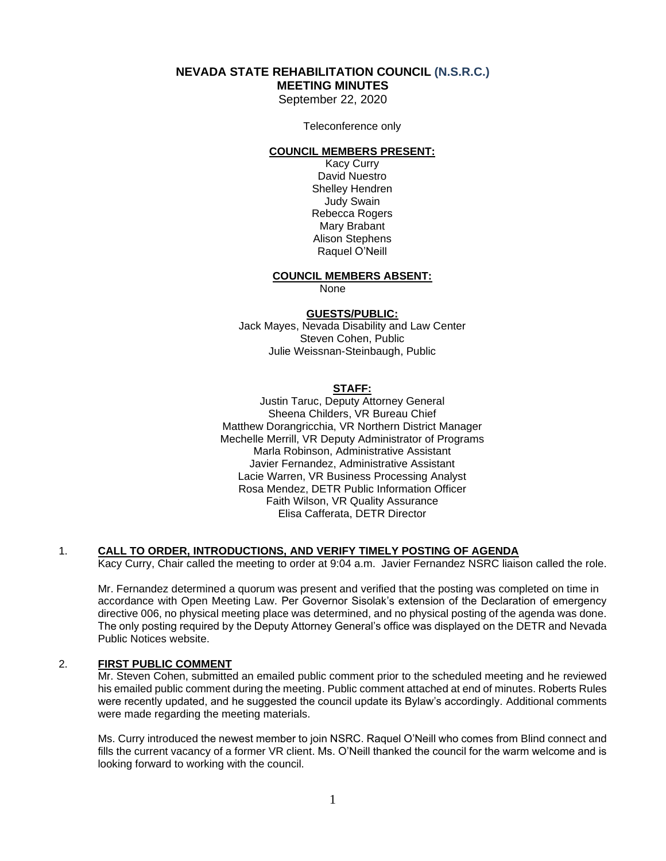#### **NEVADA STATE REHABILITATION COUNCIL (N.S.R.C.) MEETING MINUTES**

September 22, 2020

Teleconference only

#### **COUNCIL MEMBERS PRESENT:**

Kacy Curry David Nuestro Shelley Hendren Judy Swain Rebecca Rogers Mary Brabant Alison Stephens Raquel O'Neill

#### **COUNCIL MEMBERS ABSENT:**

None

#### **GUESTS/PUBLIC:**

Jack Mayes, Nevada Disability and Law Center Steven Cohen, Public Julie Weissnan-Steinbaugh, Public

#### **STAFF:**

Justin Taruc, Deputy Attorney General Sheena Childers, VR Bureau Chief Matthew Dorangricchia, VR Northern District Manager Mechelle Merrill, VR Deputy Administrator of Programs Marla Robinson, Administrative Assistant Javier Fernandez, Administrative Assistant Lacie Warren, VR Business Processing Analyst Rosa Mendez, DETR Public Information Officer Faith Wilson, VR Quality Assurance Elisa Cafferata, DETR Director

#### 1. **CALL TO ORDER, INTRODUCTIONS, AND VERIFY TIMELY POSTING OF AGENDA**

Kacy Curry, Chair called the meeting to order at 9:04 a.m. Javier Fernandez NSRC liaison called the role.

Mr. Fernandez determined a quorum was present and verified that the posting was completed on time in accordance with Open Meeting Law. Per Governor Sisolak's extension of the Declaration of emergency directive 006, no physical meeting place was determined, and no physical posting of the agenda was done. The only posting required by the Deputy Attorney General's office was displayed on the DETR and Nevada Public Notices website.

#### 2. **FIRST PUBLIC COMMENT**

Mr. Steven Cohen, submitted an emailed public comment prior to the scheduled meeting and he reviewed his emailed public comment during the meeting. Public comment attached at end of minutes. Roberts Rules were recently updated, and he suggested the council update its Bylaw's accordingly. Additional comments were made regarding the meeting materials.

Ms. Curry introduced the newest member to join NSRC. Raquel O'Neill who comes from Blind connect and fills the current vacancy of a former VR client. Ms. O'Neill thanked the council for the warm welcome and is looking forward to working with the council.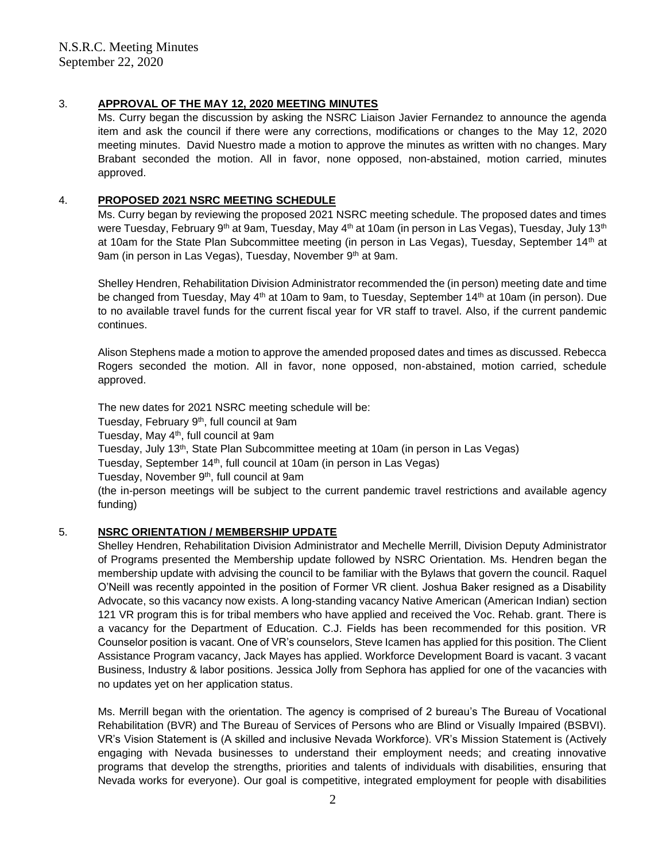## 3. **APPROVAL OF THE MAY 12, 2020 MEETING MINUTES**

Ms. Curry began the discussion by asking the NSRC Liaison Javier Fernandez to announce the agenda item and ask the council if there were any corrections, modifications or changes to the May 12, 2020 meeting minutes. David Nuestro made a motion to approve the minutes as written with no changes. Mary Brabant seconded the motion. All in favor, none opposed, non-abstained, motion carried, minutes approved.

## 4. **PROPOSED 2021 NSRC MEETING SCHEDULE**

Ms. Curry began by reviewing the proposed 2021 NSRC meeting schedule. The proposed dates and times were Tuesday, February 9<sup>th</sup> at 9am, Tuesday, May 4<sup>th</sup> at 10am (in person in Las Vegas), Tuesday, July 13<sup>th</sup> at 10am for the State Plan Subcommittee meeting (in person in Las Vegas), Tuesday, September 14<sup>th</sup> at 9am (in person in Las Vegas), Tuesday, November 9<sup>th</sup> at 9am.

Shelley Hendren, Rehabilitation Division Administrator recommended the (in person) meeting date and time be changed from Tuesday, May 4<sup>th</sup> at 10am to 9am, to Tuesday, September 14<sup>th</sup> at 10am (in person). Due to no available travel funds for the current fiscal year for VR staff to travel. Also, if the current pandemic continues.

Alison Stephens made a motion to approve the amended proposed dates and times as discussed. Rebecca Rogers seconded the motion. All in favor, none opposed, non-abstained, motion carried, schedule approved.

The new dates for 2021 NSRC meeting schedule will be: Tuesday, February 9th, full council at 9am Tuesday, May 4<sup>th</sup>, full council at 9am Tuesday, July 13<sup>th</sup>, State Plan Subcommittee meeting at 10am (in person in Las Vegas) Tuesday, September 14<sup>th</sup>, full council at 10am (in person in Las Vegas) Tuesday, November 9<sup>th</sup>, full council at 9am (the in-person meetings will be subject to the current pandemic travel restrictions and available agency funding)

## 5. **NSRC ORIENTATION / MEMBERSHIP UPDATE**

Shelley Hendren, Rehabilitation Division Administrator and Mechelle Merrill, Division Deputy Administrator of Programs presented the Membership update followed by NSRC Orientation. Ms. Hendren began the membership update with advising the council to be familiar with the Bylaws that govern the council. Raquel O'Neill was recently appointed in the position of Former VR client. Joshua Baker resigned as a Disability Advocate, so this vacancy now exists. A long-standing vacancy Native American (American Indian) section 121 VR program this is for tribal members who have applied and received the Voc. Rehab. grant. There is a vacancy for the Department of Education. C.J. Fields has been recommended for this position. VR Counselor position is vacant. One of VR's counselors, Steve Icamen has applied for this position. The Client Assistance Program vacancy, Jack Mayes has applied. Workforce Development Board is vacant. 3 vacant Business, Industry & labor positions. Jessica Jolly from Sephora has applied for one of the vacancies with no updates yet on her application status.

Ms. Merrill began with the orientation. The agency is comprised of 2 bureau's The Bureau of Vocational Rehabilitation (BVR) and The Bureau of Services of Persons who are Blind or Visually Impaired (BSBVI). VR's Vision Statement is (A skilled and inclusive Nevada Workforce). VR's Mission Statement is (Actively engaging with Nevada businesses to understand their employment needs; and creating innovative programs that develop the strengths, priorities and talents of individuals with disabilities, ensuring that Nevada works for everyone). Our goal is competitive, integrated employment for people with disabilities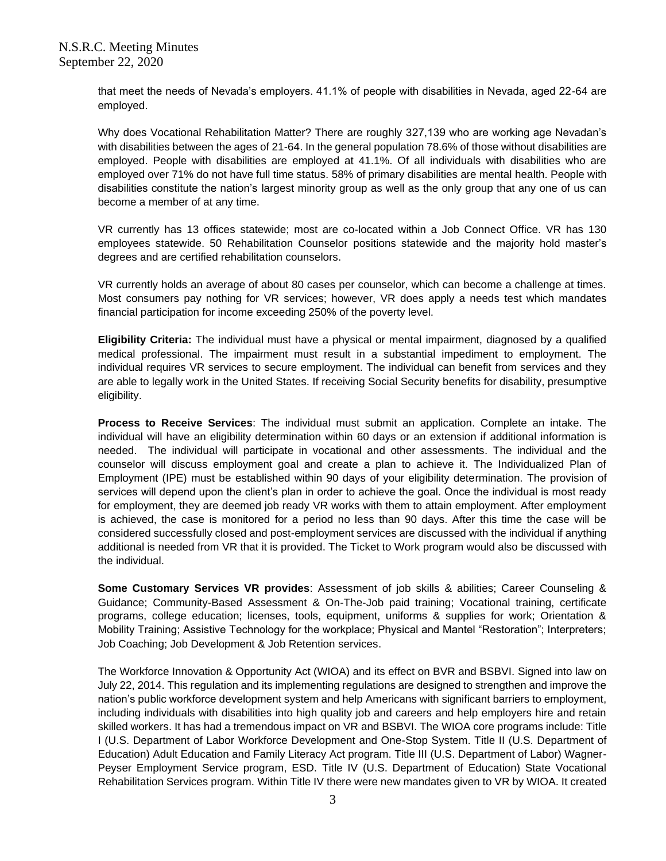that meet the needs of Nevada's employers. 41.1% of people with disabilities in Nevada, aged 22-64 are employed.

Why does Vocational Rehabilitation Matter? There are roughly 327,139 who are working age Nevadan's with disabilities between the ages of 21-64. In the general population 78.6% of those without disabilities are employed. People with disabilities are employed at 41.1%. Of all individuals with disabilities who are employed over 71% do not have full time status. 58% of primary disabilities are mental health. People with disabilities constitute the nation's largest minority group as well as the only group that any one of us can become a member of at any time.

VR currently has 13 offices statewide; most are co-located within a Job Connect Office. VR has 130 employees statewide. 50 Rehabilitation Counselor positions statewide and the majority hold master's degrees and are certified rehabilitation counselors.

VR currently holds an average of about 80 cases per counselor, which can become a challenge at times. Most consumers pay nothing for VR services; however, VR does apply a needs test which mandates financial participation for income exceeding 250% of the poverty level.

**Eligibility Criteria:** The individual must have a physical or mental impairment, diagnosed by a qualified medical professional. The impairment must result in a substantial impediment to employment. The individual requires VR services to secure employment. The individual can benefit from services and they are able to legally work in the United States. If receiving Social Security benefits for disability, presumptive eligibility.

**Process to Receive Services**: The individual must submit an application. Complete an intake. The individual will have an eligibility determination within 60 days or an extension if additional information is needed. The individual will participate in vocational and other assessments. The individual and the counselor will discuss employment goal and create a plan to achieve it. The Individualized Plan of Employment (IPE) must be established within 90 days of your eligibility determination. The provision of services will depend upon the client's plan in order to achieve the goal. Once the individual is most ready for employment, they are deemed job ready VR works with them to attain employment. After employment is achieved, the case is monitored for a period no less than 90 days. After this time the case will be considered successfully closed and post-employment services are discussed with the individual if anything additional is needed from VR that it is provided. The Ticket to Work program would also be discussed with the individual.

**Some Customary Services VR provides**: Assessment of job skills & abilities; Career Counseling & Guidance; Community-Based Assessment & On-The-Job paid training; Vocational training, certificate programs, college education; licenses, tools, equipment, uniforms & supplies for work; Orientation & Mobility Training; Assistive Technology for the workplace; Physical and Mantel "Restoration"; Interpreters; Job Coaching; Job Development & Job Retention services.

The Workforce Innovation & Opportunity Act (WIOA) and its effect on BVR and BSBVI. Signed into law on July 22, 2014. This regulation and its implementing regulations are designed to strengthen and improve the nation's public workforce development system and help Americans with significant barriers to employment, including individuals with disabilities into high quality job and careers and help employers hire and retain skilled workers. It has had a tremendous impact on VR and BSBVI. The WIOA core programs include: Title I (U.S. Department of Labor Workforce Development and One-Stop System. Title II (U.S. Department of Education) Adult Education and Family Literacy Act program. Title III (U.S. Department of Labor) Wagner-Peyser Employment Service program, ESD. Title IV (U.S. Department of Education) State Vocational Rehabilitation Services program. Within Title IV there were new mandates given to VR by WIOA. It created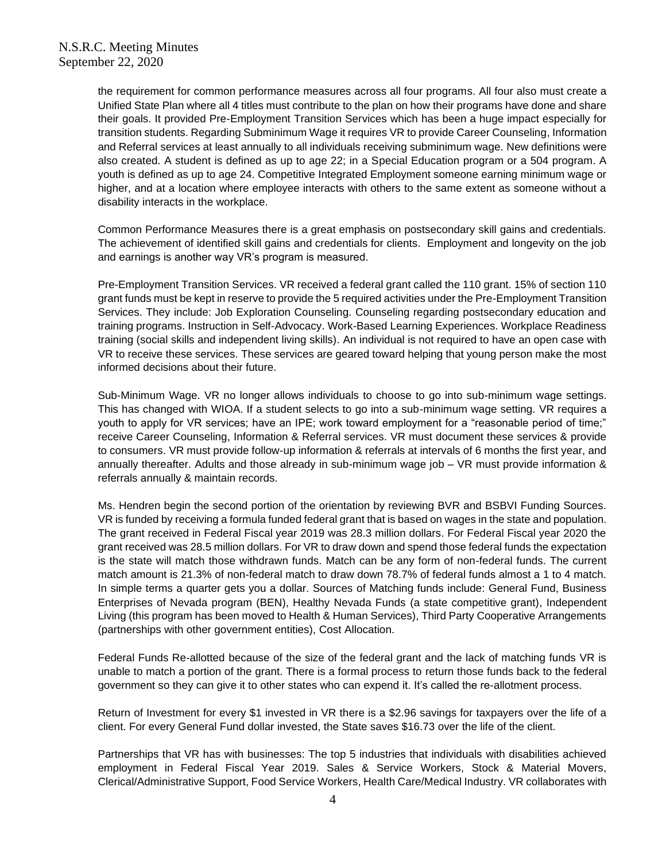the requirement for common performance measures across all four programs. All four also must create a Unified State Plan where all 4 titles must contribute to the plan on how their programs have done and share their goals. It provided Pre-Employment Transition Services which has been a huge impact especially for transition students. Regarding Subminimum Wage it requires VR to provide Career Counseling, Information and Referral services at least annually to all individuals receiving subminimum wage. New definitions were also created. A student is defined as up to age 22; in a Special Education program or a 504 program. A youth is defined as up to age 24. Competitive Integrated Employment someone earning minimum wage or higher, and at a location where employee interacts with others to the same extent as someone without a disability interacts in the workplace.

Common Performance Measures there is a great emphasis on postsecondary skill gains and credentials. The achievement of identified skill gains and credentials for clients. Employment and longevity on the job and earnings is another way VR's program is measured.

Pre-Employment Transition Services. VR received a federal grant called the 110 grant. 15% of section 110 grant funds must be kept in reserve to provide the 5 required activities under the Pre-Employment Transition Services. They include: Job Exploration Counseling. Counseling regarding postsecondary education and training programs. Instruction in Self-Advocacy. Work-Based Learning Experiences. Workplace Readiness training (social skills and independent living skills). An individual is not required to have an open case with VR to receive these services. These services are geared toward helping that young person make the most informed decisions about their future.

Sub-Minimum Wage. VR no longer allows individuals to choose to go into sub-minimum wage settings. This has changed with WIOA. If a student selects to go into a sub-minimum wage setting. VR requires a youth to apply for VR services; have an IPE; work toward employment for a "reasonable period of time;" receive Career Counseling, Information & Referral services. VR must document these services & provide to consumers. VR must provide follow-up information & referrals at intervals of 6 months the first year, and annually thereafter. Adults and those already in sub-minimum wage job – VR must provide information & referrals annually & maintain records.

Ms. Hendren begin the second portion of the orientation by reviewing BVR and BSBVI Funding Sources. VR is funded by receiving a formula funded federal grant that is based on wages in the state and population. The grant received in Federal Fiscal year 2019 was 28.3 million dollars. For Federal Fiscal year 2020 the grant received was 28.5 million dollars. For VR to draw down and spend those federal funds the expectation is the state will match those withdrawn funds. Match can be any form of non-federal funds. The current match amount is 21.3% of non-federal match to draw down 78.7% of federal funds almost a 1 to 4 match. In simple terms a quarter gets you a dollar. Sources of Matching funds include: General Fund, Business Enterprises of Nevada program (BEN), Healthy Nevada Funds (a state competitive grant), Independent Living (this program has been moved to Health & Human Services), Third Party Cooperative Arrangements (partnerships with other government entities), Cost Allocation.

Federal Funds Re-allotted because of the size of the federal grant and the lack of matching funds VR is unable to match a portion of the grant. There is a formal process to return those funds back to the federal government so they can give it to other states who can expend it. It's called the re-allotment process.

Return of Investment for every \$1 invested in VR there is a \$2.96 savings for taxpayers over the life of a client. For every General Fund dollar invested, the State saves \$16.73 over the life of the client.

Partnerships that VR has with businesses: The top 5 industries that individuals with disabilities achieved employment in Federal Fiscal Year 2019. Sales & Service Workers, Stock & Material Movers, Clerical/Administrative Support, Food Service Workers, Health Care/Medical Industry. VR collaborates with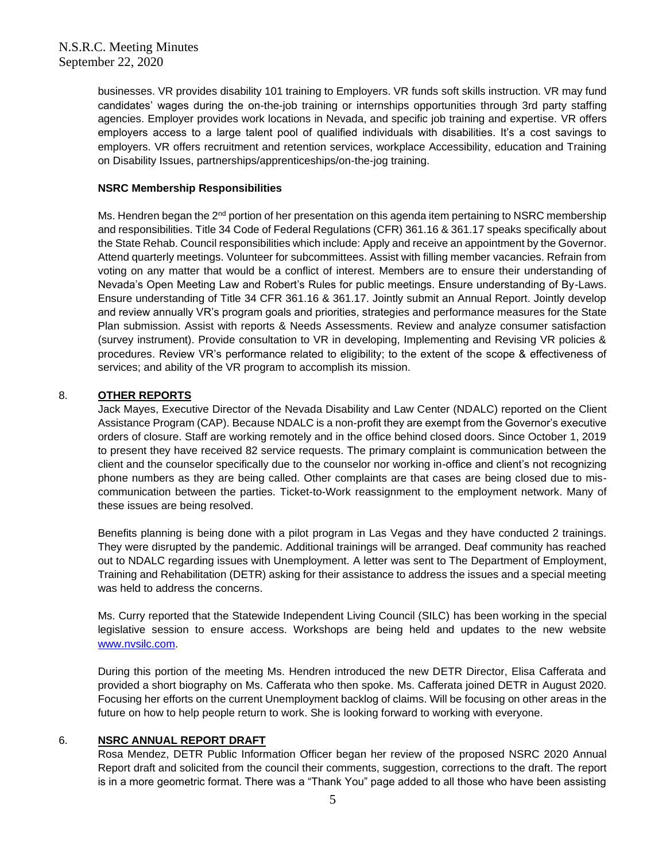businesses. VR provides disability 101 training to Employers. VR funds soft skills instruction. VR may fund candidates' wages during the on-the-job training or internships opportunities through 3rd party staffing agencies. Employer provides work locations in Nevada, and specific job training and expertise. VR offers employers access to a large talent pool of qualified individuals with disabilities. It's a cost savings to employers. VR offers recruitment and retention services, workplace Accessibility, education and Training on Disability Issues, partnerships/apprenticeships/on-the-jog training.

### **NSRC Membership Responsibilities**

Ms. Hendren began the 2<sup>nd</sup> portion of her presentation on this agenda item pertaining to NSRC membership and responsibilities. Title 34 Code of Federal Regulations (CFR) 361.16 & 361.17 speaks specifically about the State Rehab. Council responsibilities which include: Apply and receive an appointment by the Governor. Attend quarterly meetings. Volunteer for subcommittees. Assist with filling member vacancies. Refrain from voting on any matter that would be a conflict of interest. Members are to ensure their understanding of Nevada's Open Meeting Law and Robert's Rules for public meetings. Ensure understanding of By-Laws. Ensure understanding of Title 34 CFR 361.16 & 361.17. Jointly submit an Annual Report. Jointly develop and review annually VR's program goals and priorities, strategies and performance measures for the State Plan submission. Assist with reports & Needs Assessments. Review and analyze consumer satisfaction (survey instrument). Provide consultation to VR in developing, Implementing and Revising VR policies & procedures. Review VR's performance related to eligibility; to the extent of the scope & effectiveness of services; and ability of the VR program to accomplish its mission.

## 8. **OTHER REPORTS**

Jack Mayes, Executive Director of the Nevada Disability and Law Center (NDALC) reported on the Client Assistance Program (CAP). Because NDALC is a non-profit they are exempt from the Governor's executive orders of closure. Staff are working remotely and in the office behind closed doors. Since October 1, 2019 to present they have received 82 service requests. The primary complaint is communication between the client and the counselor specifically due to the counselor nor working in-office and client's not recognizing phone numbers as they are being called. Other complaints are that cases are being closed due to miscommunication between the parties. Ticket-to-Work reassignment to the employment network. Many of these issues are being resolved.

Benefits planning is being done with a pilot program in Las Vegas and they have conducted 2 trainings. They were disrupted by the pandemic. Additional trainings will be arranged. Deaf community has reached out to NDALC regarding issues with Unemployment. A letter was sent to The Department of Employment, Training and Rehabilitation (DETR) asking for their assistance to address the issues and a special meeting was held to address the concerns.

Ms. Curry reported that the Statewide Independent Living Council (SILC) has been working in the special legislative session to ensure access. Workshops are being held and updates to the new website [www.nvsilc.com.](http://www.nvsilc.com/)

During this portion of the meeting Ms. Hendren introduced the new DETR Director, Elisa Cafferata and provided a short biography on Ms. Cafferata who then spoke. Ms. Cafferata joined DETR in August 2020. Focusing her efforts on the current Unemployment backlog of claims. Will be focusing on other areas in the future on how to help people return to work. She is looking forward to working with everyone.

### 6. **NSRC ANNUAL REPORT DRAFT**

Rosa Mendez, DETR Public Information Officer began her review of the proposed NSRC 2020 Annual Report draft and solicited from the council their comments, suggestion, corrections to the draft. The report is in a more geometric format. There was a "Thank You" page added to all those who have been assisting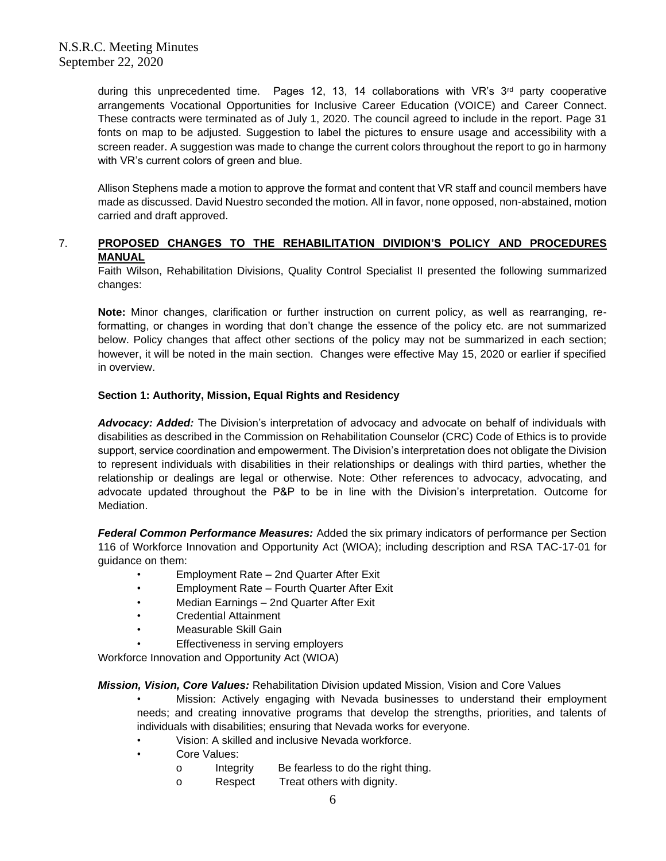during this unprecedented time. Pages 12, 13, 14 collaborations with VR's 3<sup>rd</sup> party cooperative arrangements Vocational Opportunities for Inclusive Career Education (VOICE) and Career Connect. These contracts were terminated as of July 1, 2020. The council agreed to include in the report. Page 31 fonts on map to be adjusted. Suggestion to label the pictures to ensure usage and accessibility with a screen reader. A suggestion was made to change the current colors throughout the report to go in harmony with VR's current colors of green and blue.

Allison Stephens made a motion to approve the format and content that VR staff and council members have made as discussed. David Nuestro seconded the motion. All in favor, none opposed, non-abstained, motion carried and draft approved.

## 7. **PROPOSED CHANGES TO THE REHABILITATION DIVIDION'S POLICY AND PROCEDURES MANUAL**

Faith Wilson, Rehabilitation Divisions, Quality Control Specialist II presented the following summarized changes:

**Note:** Minor changes, clarification or further instruction on current policy, as well as rearranging, reformatting, or changes in wording that don't change the essence of the policy etc. are not summarized below. Policy changes that affect other sections of the policy may not be summarized in each section; however, it will be noted in the main section. Changes were effective May 15, 2020 or earlier if specified in overview.

### **Section 1: Authority, Mission, Equal Rights and Residency**

*Advocacy: Added:* The Division's interpretation of advocacy and advocate on behalf of individuals with disabilities as described in the Commission on Rehabilitation Counselor (CRC) Code of Ethics is to provide support, service coordination and empowerment. The Division's interpretation does not obligate the Division to represent individuals with disabilities in their relationships or dealings with third parties, whether the relationship or dealings are legal or otherwise. Note: Other references to advocacy, advocating, and advocate updated throughout the P&P to be in line with the Division's interpretation. Outcome for Mediation.

*Federal Common Performance Measures:* Added the six primary indicators of performance per Section 116 of Workforce Innovation and Opportunity Act (WIOA); including description and RSA TAC-17-01 for guidance on them:

- Employment Rate 2nd Quarter After Exit
- Employment Rate Fourth Quarter After Exit
- Median Earnings 2nd Quarter After Exit
- Credential Attainment
- Measurable Skill Gain
- Effectiveness in serving employers

Workforce Innovation and Opportunity Act (WIOA)

*Mission, Vision, Core Values:* Rehabilitation Division updated Mission, Vision and Core Values

• Mission: Actively engaging with Nevada businesses to understand their employment needs; and creating innovative programs that develop the strengths, priorities, and talents of individuals with disabilities; ensuring that Nevada works for everyone.

- Vision: A skilled and inclusive Nevada workforce.
- Core Values:
	- o Integrity Be fearless to do the right thing.
		- o Respect Treat others with dignity.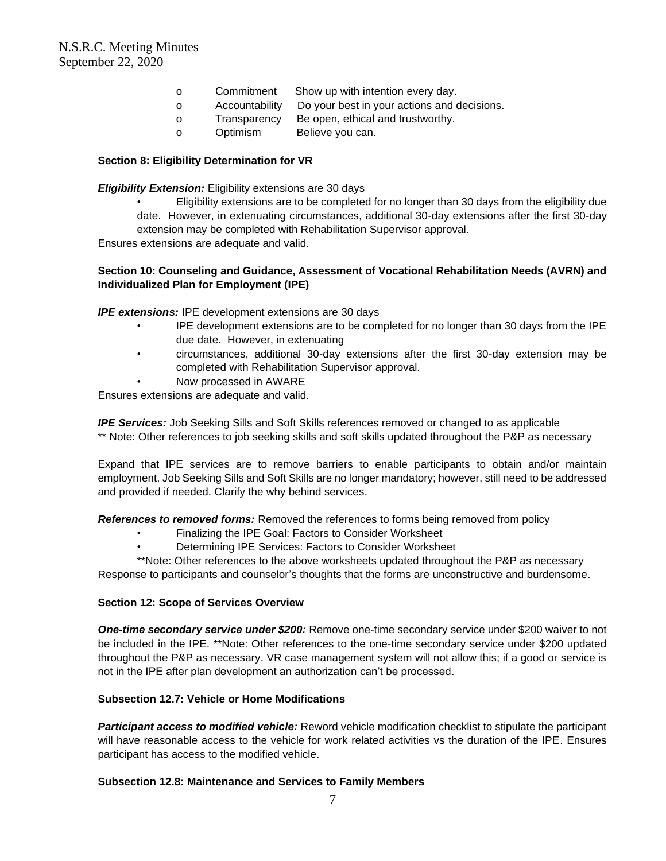- o Commitment Show up with intention every day.
- o Accountability Do your best in your actions and decisions.
- o Transparency Be open, ethical and trustworthy.
- o Optimism Believe you can.

#### **Section 8: Eligibility Determination for VR**

#### *Eligibility Extension:* Eligibility extensions are 30 days

• Eligibility extensions are to be completed for no longer than 30 days from the eligibility due date. However, in extenuating circumstances, additional 30-day extensions after the first 30-day extension may be completed with Rehabilitation Supervisor approval.

Ensures extensions are adequate and valid.

### **Section 10: Counseling and Guidance, Assessment of Vocational Rehabilitation Needs (AVRN) and Individualized Plan for Employment (IPE)**

*IPE extensions:* IPE development extensions are 30 days

- IPE development extensions are to be completed for no longer than 30 days from the IPE due date. However, in extenuating
- circumstances, additional 30-day extensions after the first 30-day extension may be completed with Rehabilitation Supervisor approval.
- Now processed in AWARE

Ensures extensions are adequate and valid.

*IPE Services:* Job Seeking Sills and Soft Skills references removed or changed to as applicable \*\* Note: Other references to job seeking skills and soft skills updated throughout the P&P as necessary

Expand that IPE services are to remove barriers to enable participants to obtain and/or maintain employment. Job Seeking Sills and Soft Skills are no longer mandatory; however, still need to be addressed and provided if needed. Clarify the why behind services.

*References to removed forms:* Removed the references to forms being removed from policy

- Finalizing the IPE Goal: Factors to Consider Worksheet
- Determining IPE Services: Factors to Consider Worksheet

\*\*Note: Other references to the above worksheets updated throughout the P&P as necessary Response to participants and counselor's thoughts that the forms are unconstructive and burdensome.

#### **Section 12: Scope of Services Overview**

*One-time secondary service under \$200:* Remove one-time secondary service under \$200 waiver to not be included in the IPE. \*\*Note: Other references to the one-time secondary service under \$200 updated throughout the P&P as necessary. VR case management system will not allow this; if a good or service is not in the IPE after plan development an authorization can't be processed.

### **Subsection 12.7: Vehicle or Home Modifications**

*Participant access to modified vehicle:* Reword vehicle modification checklist to stipulate the participant will have reasonable access to the vehicle for work related activities vs the duration of the IPE. Ensures participant has access to the modified vehicle.

### **Subsection 12.8: Maintenance and Services to Family Members**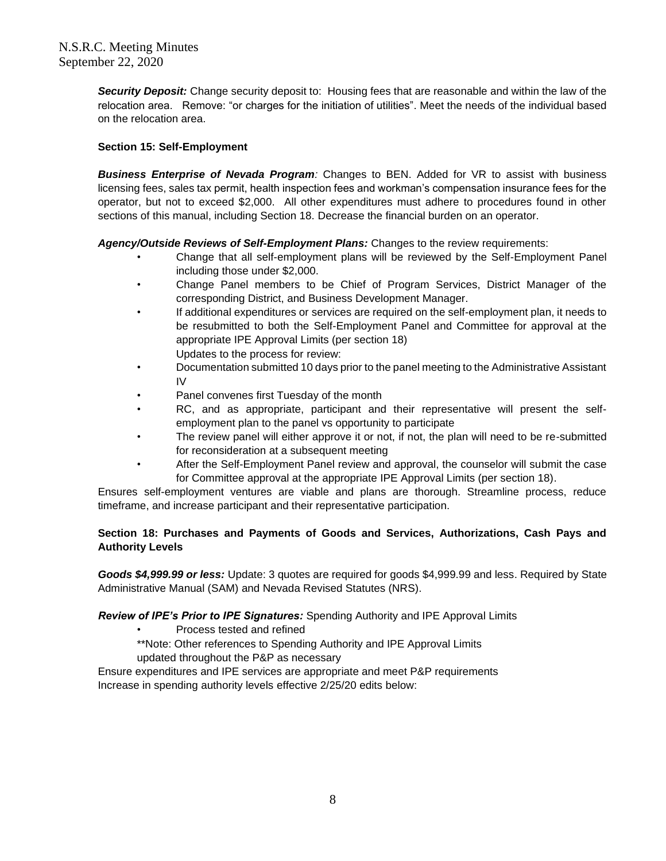*Security Deposit:* Change security deposit to: Housing fees that are reasonable and within the law of the relocation area. Remove: "or charges for the initiation of utilities". Meet the needs of the individual based on the relocation area.

## **Section 15: Self-Employment**

*Business Enterprise of Nevada Program:* Changes to BEN. Added for VR to assist with business licensing fees, sales tax permit, health inspection fees and workman's compensation insurance fees for the operator, but not to exceed \$2,000. All other expenditures must adhere to procedures found in other sections of this manual, including Section 18. Decrease the financial burden on an operator.

## *Agency/Outside Reviews of Self-Employment Plans:* Changes to the review requirements:

- Change that all self-employment plans will be reviewed by the Self-Employment Panel including those under \$2,000.
- Change Panel members to be Chief of Program Services, District Manager of the corresponding District, and Business Development Manager.
- If additional expenditures or services are required on the self-employment plan, it needs to be resubmitted to both the Self-Employment Panel and Committee for approval at the appropriate IPE Approval Limits (per section 18) Updates to the process for review:
- Documentation submitted 10 days prior to the panel meeting to the Administrative Assistant IV
- Panel convenes first Tuesday of the month
- RC, and as appropriate, participant and their representative will present the selfemployment plan to the panel vs opportunity to participate
- The review panel will either approve it or not, if not, the plan will need to be re-submitted for reconsideration at a subsequent meeting
- After the Self-Employment Panel review and approval, the counselor will submit the case for Committee approval at the appropriate IPE Approval Limits (per section 18).

Ensures self-employment ventures are viable and plans are thorough. Streamline process, reduce timeframe, and increase participant and their representative participation.

## **Section 18: Purchases and Payments of Goods and Services, Authorizations, Cash Pays and Authority Levels**

*Goods \$4,999.99 or less:* Update: 3 quotes are required for goods \$4,999.99 and less. Required by State Administrative Manual (SAM) and Nevada Revised Statutes (NRS).

### *Review of IPE's Prior to IPE Signatures:* Spending Authority and IPE Approval Limits

- Process tested and refined
- \*\*Note: Other references to Spending Authority and IPE Approval Limits updated throughout the P&P as necessary

Ensure expenditures and IPE services are appropriate and meet P&P requirements Increase in spending authority levels effective 2/25/20 edits below: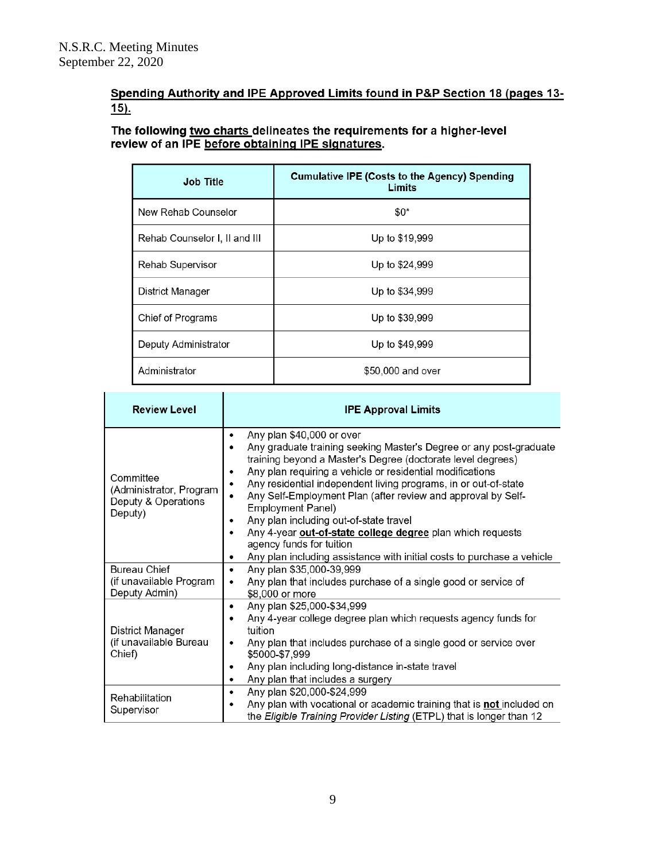# Spending Authority and IPE Approved Limits found in P&P Section 18 (pages 13- $15$ ).

The following <u>two charts d</u>elineates the requirements for a higher-level review of an IPE <u>before obtaining IPE signatures</u>.

| <b>Job Title</b>              | <b>Cumulative IPE (Costs to the Agency) Spending</b><br>Limits |
|-------------------------------|----------------------------------------------------------------|
| New Rehab Counselor           | $$0*$                                                          |
| Rehab Counselor I, II and III | Up to \$19,999                                                 |
| <b>Rehab Supervisor</b>       | Up to \$24,999                                                 |
| District Manager              | Up to \$34,999                                                 |
| Chief of Programs             | Up to \$39,999                                                 |
| Deputy Administrator          | Up to \$49,999                                                 |
| Administrator                 | \$50,000 and over                                              |

| <b>Review Level</b>                                                    | <b>IPE Approval Limits</b>                                                                                                                                                                                                                                                                                                                                                                                                                                                                                                                                                                                  |
|------------------------------------------------------------------------|-------------------------------------------------------------------------------------------------------------------------------------------------------------------------------------------------------------------------------------------------------------------------------------------------------------------------------------------------------------------------------------------------------------------------------------------------------------------------------------------------------------------------------------------------------------------------------------------------------------|
| Committee<br>(Administrator, Program<br>Deputy & Operations<br>Deputy) | Any plan \$40,000 or over<br>٠<br>Any graduate training seeking Master's Degree or any post-graduate<br>training beyond a Master's Degree (doctorate level degrees)<br>Any plan requiring a vehicle or residential modifications<br>Any residential independent living programs, in or out-of-state<br>Any Self-Employment Plan (after review and approval by Self-<br>٠<br>Employment Panel)<br>Any plan including out-of-state travel<br>Any 4-year out-of-state college degree plan which requests<br>agency funds for tuition<br>Any plan including assistance with initial costs to purchase a vehicle |
| <b>Bureau Chief</b><br>(if unavailable Program<br>Deputy Admin)        | Any plan \$35,000-39,999<br>٠<br>Any plan that includes purchase of a single good or service of<br>٠<br>\$8,000 or more                                                                                                                                                                                                                                                                                                                                                                                                                                                                                     |
| District Manager<br>(if unavailable Bureau<br>Chief)                   | Any plan \$25,000-\$34,999<br>٠<br>Any 4-year college degree plan which requests agency funds for<br>٠<br>tuition<br>Any plan that includes purchase of a single good or service over<br>٠<br>\$5000-\$7,999<br>Any plan including long-distance in-state travel<br>٠<br>Any plan that includes a surgery<br>٠                                                                                                                                                                                                                                                                                              |
| Rehabilitation<br>Supervisor                                           | Any plan \$20,000-\$24,999<br>٠<br>Any plan with vocational or academic training that is <b>not</b> included on<br>٠<br>the Eligible Training Provider Listing (ETPL) that is longer than 12                                                                                                                                                                                                                                                                                                                                                                                                                |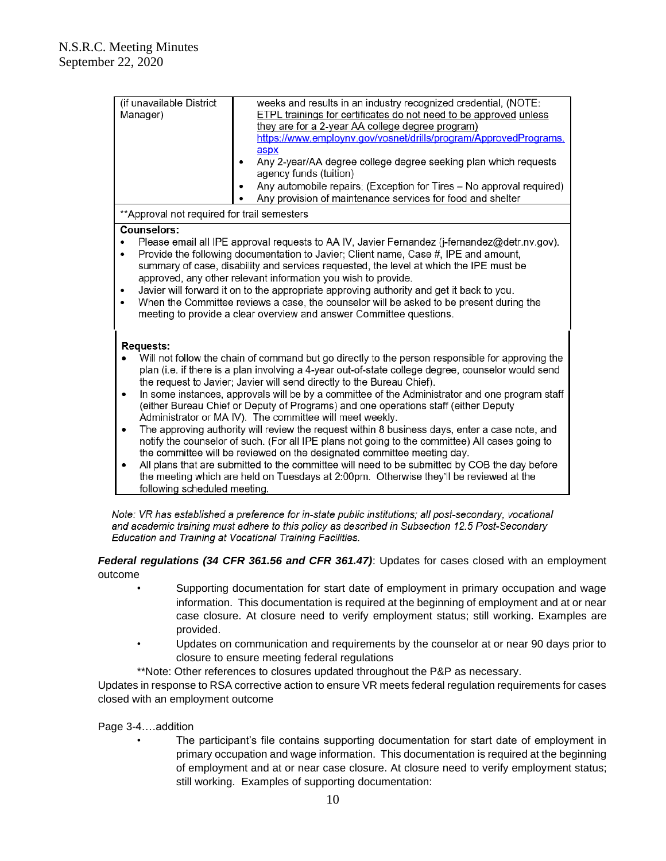| (if unavailable District<br>Manager)                                                                                                                                                                                                                                                                                                                                                                                                                                                                                                                                                                                                               | weeks and results in an industry recognized credential, (NOTE:<br>ETPL trainings for certificates do not need to be approved unless<br>they are for a 2-year AA college degree program)<br>https://www.employnv.gov/vosnet/drills/program/ApprovedPrograms.<br>aspx<br>Any 2-year/AA degree college degree seeking plan which requests<br>agency funds (tuition)<br>Any automobile repairs; (Exception for Tires - No approval required)<br>Any provision of maintenance services for food and shelter                                                                                                                                                                                                                                                                                                                                                                                                                                                                                                           |  |
|----------------------------------------------------------------------------------------------------------------------------------------------------------------------------------------------------------------------------------------------------------------------------------------------------------------------------------------------------------------------------------------------------------------------------------------------------------------------------------------------------------------------------------------------------------------------------------------------------------------------------------------------------|------------------------------------------------------------------------------------------------------------------------------------------------------------------------------------------------------------------------------------------------------------------------------------------------------------------------------------------------------------------------------------------------------------------------------------------------------------------------------------------------------------------------------------------------------------------------------------------------------------------------------------------------------------------------------------------------------------------------------------------------------------------------------------------------------------------------------------------------------------------------------------------------------------------------------------------------------------------------------------------------------------------|--|
| ** Approval not required for trail semesters                                                                                                                                                                                                                                                                                                                                                                                                                                                                                                                                                                                                       |                                                                                                                                                                                                                                                                                                                                                                                                                                                                                                                                                                                                                                                                                                                                                                                                                                                                                                                                                                                                                  |  |
| Counselors:<br>Please email all IPE approval requests to AA IV, Javier Fernandez (j-fernandez@detr.nv.gov).<br>Provide the following documentation to Javier; Client name, Case #, IPE and amount,<br>$\bullet$<br>summary of case, disability and services requested, the level at which the IPE must be<br>approved, any other relevant information you wish to provide.<br>Javier will forward it on to the appropriate approving authority and get it back to you.<br>٠<br>When the Committee reviews a case, the counselor will be asked to be present during the<br>٠<br>meeting to provide a clear overview and answer Committee questions. |                                                                                                                                                                                                                                                                                                                                                                                                                                                                                                                                                                                                                                                                                                                                                                                                                                                                                                                                                                                                                  |  |
| <b>Requests:</b><br>$\bullet$<br>$\bullet$<br>following scheduled meeting.                                                                                                                                                                                                                                                                                                                                                                                                                                                                                                                                                                         | Will not follow the chain of command but go directly to the person responsible for approving the<br>plan (i.e. if there is a plan involving a 4-year out-of-state college degree, counselor would send<br>the request to Javier; Javier will send directly to the Bureau Chief).<br>In some instances, approvals will be by a committee of the Administrator and one program staff<br>(either Bureau Chief or Deputy of Programs) and one operations staff (either Deputy<br>Administrator or MA IV). The committee will meet weekly.<br>The approving authority will review the request within 8 business days, enter a case note, and<br>notify the counselor of such. (For all IPE plans not going to the committee) All cases going to<br>the committee will be reviewed on the designated committee meeting day.<br>All plans that are submitted to the committee will need to be submitted by COB the day before<br>the meeting which are held on Tuesdays at 2:00pm. Otherwise they'll be reviewed at the |  |

Note: VR has established a preference for in-state public institutions; all post-secondary, vocational and academic training must adhere to this policy as described in Subsection 12.5 Post-Secondary Education and Training at Vocational Training Facilities.

*Federal regulations (34 CFR 361.56 and CFR 361.47)*: Updates for cases closed with an employment outcome

- Supporting documentation for start date of employment in primary occupation and wage information. This documentation is required at the beginning of employment and at or near case closure. At closure need to verify employment status; still working. Examples are provided.
- Updates on communication and requirements by the counselor at or near 90 days prior to closure to ensure meeting federal regulations
- \*\*Note: Other references to closures updated throughout the P&P as necessary.

Updates in response to RSA corrective action to ensure VR meets federal regulation requirements for cases closed with an employment outcome

### Page 3-4.…addition

• The participant's file contains supporting documentation for start date of employment in primary occupation and wage information. This documentation is required at the beginning of employment and at or near case closure. At closure need to verify employment status; still working. Examples of supporting documentation: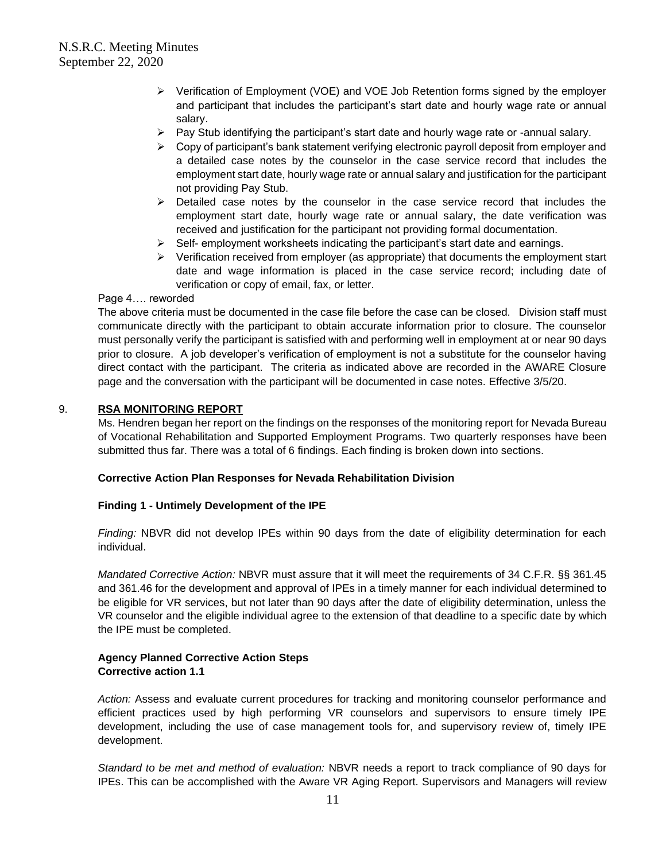- ➢ Verification of Employment (VOE) and VOE Job Retention forms signed by the employer and participant that includes the participant's start date and hourly wage rate or annual salary.
- $\triangleright$  Pay Stub identifying the participant's start date and hourly wage rate or -annual salary.
- $\triangleright$  Copy of participant's bank statement verifying electronic payroll deposit from employer and a detailed case notes by the counselor in the case service record that includes the employment start date, hourly wage rate or annual salary and justification for the participant not providing Pay Stub.
- ➢ Detailed case notes by the counselor in the case service record that includes the employment start date, hourly wage rate or annual salary, the date verification was received and justification for the participant not providing formal documentation.
- $\triangleright$  Self- employment worksheets indicating the participant's start date and earnings.
- ➢ Verification received from employer (as appropriate) that documents the employment start date and wage information is placed in the case service record; including date of verification or copy of email, fax, or letter.

#### Page 4…. reworded

The above criteria must be documented in the case file before the case can be closed. Division staff must communicate directly with the participant to obtain accurate information prior to closure. The counselor must personally verify the participant is satisfied with and performing well in employment at or near 90 days prior to closure. A job developer's verification of employment is not a substitute for the counselor having direct contact with the participant. The criteria as indicated above are recorded in the AWARE Closure page and the conversation with the participant will be documented in case notes. Effective 3/5/20.

### 9. **RSA MONITORING REPORT**

Ms. Hendren began her report on the findings on the responses of the monitoring report for Nevada Bureau of Vocational Rehabilitation and Supported Employment Programs. Two quarterly responses have been submitted thus far. There was a total of 6 findings. Each finding is broken down into sections.

## **Corrective Action Plan Responses for Nevada Rehabilitation Division**

### **Finding 1 - Untimely Development of the IPE**

*Finding:* NBVR did not develop IPEs within 90 days from the date of eligibility determination for each individual.

*Mandated Corrective Action:* NBVR must assure that it will meet the requirements of 34 C.F.R. §§ 361.45 and 361.46 for the development and approval of IPEs in a timely manner for each individual determined to be eligible for VR services, but not later than 90 days after the date of eligibility determination, unless the VR counselor and the eligible individual agree to the extension of that deadline to a specific date by which the IPE must be completed.

### **Agency Planned Corrective Action Steps Corrective action 1.1**

*Action:* Assess and evaluate current procedures for tracking and monitoring counselor performance and efficient practices used by high performing VR counselors and supervisors to ensure timely IPE development, including the use of case management tools for, and supervisory review of, timely IPE development.

*Standard to be met and method of evaluation:* NBVR needs a report to track compliance of 90 days for IPEs. This can be accomplished with the Aware VR Aging Report. Supervisors and Managers will review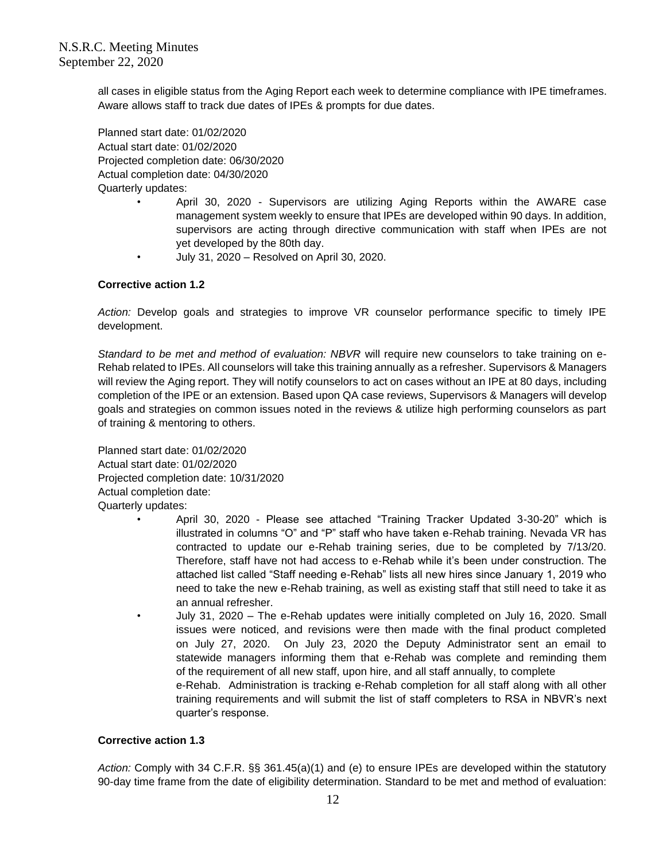all cases in eligible status from the Aging Report each week to determine compliance with IPE timeframes. Aware allows staff to track due dates of IPEs & prompts for due dates.

Planned start date: 01/02/2020 Actual start date: 01/02/2020 Projected completion date: 06/30/2020 Actual completion date: 04/30/2020 Quarterly updates:

- April 30, 2020 Supervisors are utilizing Aging Reports within the AWARE case management system weekly to ensure that IPEs are developed within 90 days. In addition, supervisors are acting through directive communication with staff when IPEs are not yet developed by the 80th day.
- July 31, 2020 Resolved on April 30, 2020.

### **Corrective action 1.2**

*Action:* Develop goals and strategies to improve VR counselor performance specific to timely IPE development.

*Standard to be met and method of evaluation: NBVR* will require new counselors to take training on e-Rehab related to IPEs. All counselors will take this training annually as a refresher. Supervisors & Managers will review the Aging report. They will notify counselors to act on cases without an IPE at 80 days, including completion of the IPE or an extension. Based upon QA case reviews, Supervisors & Managers will develop goals and strategies on common issues noted in the reviews & utilize high performing counselors as part of training & mentoring to others.

Planned start date: 01/02/2020 Actual start date: 01/02/2020 Projected completion date: 10/31/2020 Actual completion date: Quarterly updates:

- April 30, 2020 Please see attached "Training Tracker Updated 3-30-20" which is illustrated in columns "O" and "P" staff who have taken e-Rehab training. Nevada VR has contracted to update our e-Rehab training series, due to be completed by 7/13/20. Therefore, staff have not had access to e-Rehab while it's been under construction. The attached list called "Staff needing e-Rehab" lists all new hires since January 1, 2019 who need to take the new e-Rehab training, as well as existing staff that still need to take it as an annual refresher.
	- July 31, 2020 The e-Rehab updates were initially completed on July 16, 2020. Small issues were noticed, and revisions were then made with the final product completed on July 27, 2020. On July 23, 2020 the Deputy Administrator sent an email to statewide managers informing them that e-Rehab was complete and reminding them of the requirement of all new staff, upon hire, and all staff annually, to complete e-Rehab. Administration is tracking e-Rehab completion for all staff along with all other

training requirements and will submit the list of staff completers to RSA in NBVR's next quarter's response.

#### **Corrective action 1.3**

*Action:* Comply with 34 C.F.R. §§ 361.45(a)(1) and (e) to ensure IPEs are developed within the statutory 90-day time frame from the date of eligibility determination. Standard to be met and method of evaluation: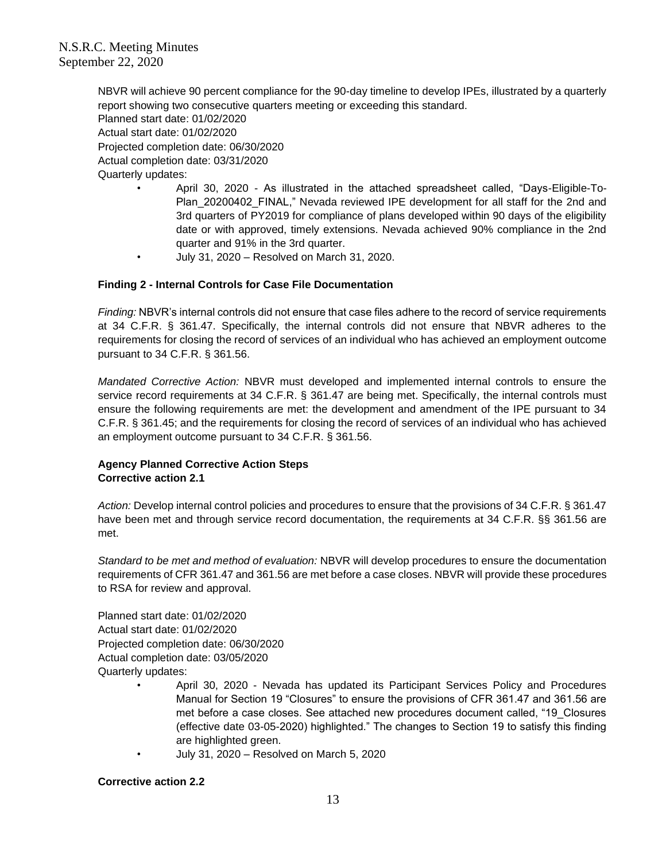NBVR will achieve 90 percent compliance for the 90-day timeline to develop IPEs, illustrated by a quarterly report showing two consecutive quarters meeting or exceeding this standard. Planned start date: 01/02/2020 Actual start date: 01/02/2020 Projected completion date: 06/30/2020 Actual completion date: 03/31/2020 Quarterly updates:

- April 30, 2020 As illustrated in the attached spreadsheet called, "Days-Eligible-To-Plan\_20200402\_FINAL," Nevada reviewed IPE development for all staff for the 2nd and 3rd quarters of PY2019 for compliance of plans developed within 90 days of the eligibility date or with approved, timely extensions. Nevada achieved 90% compliance in the 2nd quarter and 91% in the 3rd quarter.
- July 31, 2020 Resolved on March 31, 2020.

### **Finding 2 - Internal Controls for Case File Documentation**

*Finding:* NBVR's internal controls did not ensure that case files adhere to the record of service requirements at 34 C.F.R. § 361.47. Specifically, the internal controls did not ensure that NBVR adheres to the requirements for closing the record of services of an individual who has achieved an employment outcome pursuant to 34 C.F.R. § 361.56.

*Mandated Corrective Action:* NBVR must developed and implemented internal controls to ensure the service record requirements at 34 C.F.R. § 361.47 are being met. Specifically, the internal controls must ensure the following requirements are met: the development and amendment of the IPE pursuant to 34 C.F.R. § 361.45; and the requirements for closing the record of services of an individual who has achieved an employment outcome pursuant to 34 C.F.R. § 361.56.

## **Agency Planned Corrective Action Steps Corrective action 2.1**

*Action:* Develop internal control policies and procedures to ensure that the provisions of 34 C.F.R. § 361.47 have been met and through service record documentation, the requirements at 34 C.F.R. §§ 361.56 are met.

*Standard to be met and method of evaluation:* NBVR will develop procedures to ensure the documentation requirements of CFR 361.47 and 361.56 are met before a case closes. NBVR will provide these procedures to RSA for review and approval.

Planned start date: 01/02/2020 Actual start date: 01/02/2020 Projected completion date: 06/30/2020 Actual completion date: 03/05/2020 Quarterly updates:

- April 30, 2020 Nevada has updated its Participant Services Policy and Procedures Manual for Section 19 "Closures" to ensure the provisions of CFR 361.47 and 361.56 are met before a case closes. See attached new procedures document called, "19\_Closures (effective date 03-05-2020) highlighted." The changes to Section 19 to satisfy this finding are highlighted green.
- July 31, 2020 Resolved on March 5, 2020

#### **Corrective action 2.2**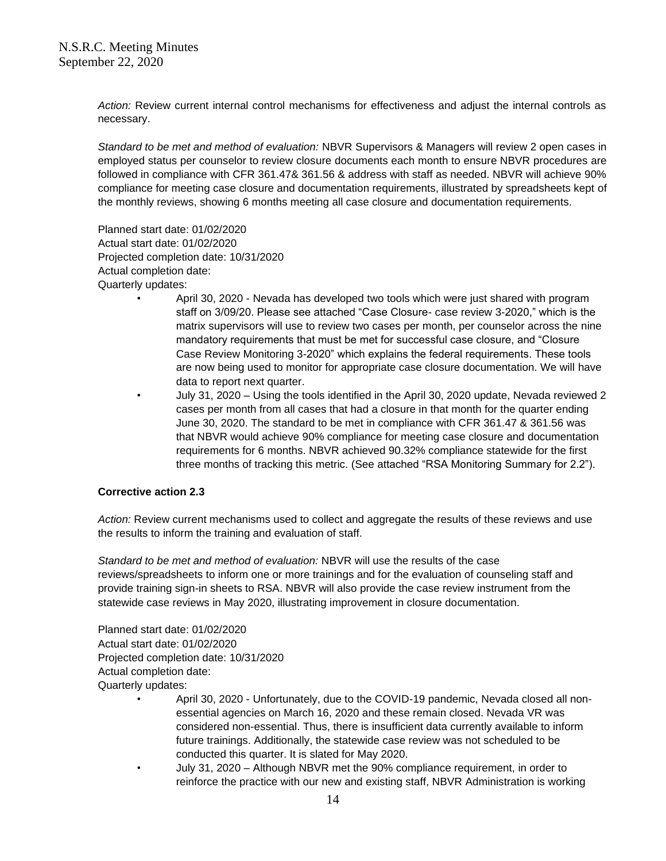*Action:* Review current internal control mechanisms for effectiveness and adjust the internal controls as necessary.

*Standard to be met and method of evaluation:* NBVR Supervisors & Managers will review 2 open cases in employed status per counselor to review closure documents each month to ensure NBVR procedures are followed in compliance with CFR 361.47& 361.56 & address with staff as needed. NBVR will achieve 90% compliance for meeting case closure and documentation requirements, illustrated by spreadsheets kept of the monthly reviews, showing 6 months meeting all case closure and documentation requirements.

Planned start date: 01/02/2020 Actual start date: 01/02/2020 Projected completion date: 10/31/2020 Actual completion date: Quarterly updates:

- April 30, 2020 Nevada has developed two tools which were just shared with program staff on 3/09/20. Please see attached "Case Closure- case review 3-2020," which is the matrix supervisors will use to review two cases per month, per counselor across the nine mandatory requirements that must be met for successful case closure, and "Closure Case Review Monitoring 3-2020" which explains the federal requirements. These tools are now being used to monitor for appropriate case closure documentation. We will have data to report next quarter.
- July 31, 2020 Using the tools identified in the April 30, 2020 update, Nevada reviewed 2 cases per month from all cases that had a closure in that month for the quarter ending June 30, 2020. The standard to be met in compliance with CFR 361.47 & 361.56 was that NBVR would achieve 90% compliance for meeting case closure and documentation requirements for 6 months. NBVR achieved 90.32% compliance statewide for the first three months of tracking this metric. (See attached "RSA Monitoring Summary for 2.2").

### **Corrective action 2.3**

*Action:* Review current mechanisms used to collect and aggregate the results of these reviews and use the results to inform the training and evaluation of staff.

*Standard to be met and method of evaluation:* NBVR will use the results of the case reviews/spreadsheets to inform one or more trainings and for the evaluation of counseling staff and provide training sign-in sheets to RSA. NBVR will also provide the case review instrument from the statewide case reviews in May 2020, illustrating improvement in closure documentation.

Planned start date: 01/02/2020 Actual start date: 01/02/2020 Projected completion date: 10/31/2020 Actual completion date: Quarterly updates:

- April 30, 2020 Unfortunately, due to the COVID-19 pandemic, Nevada closed all nonessential agencies on March 16, 2020 and these remain closed. Nevada VR was considered non-essential. Thus, there is insufficient data currently available to inform future trainings. Additionally, the statewide case review was not scheduled to be conducted this quarter. It is slated for May 2020.
- July 31, 2020 Although NBVR met the 90% compliance requirement, in order to reinforce the practice with our new and existing staff, NBVR Administration is working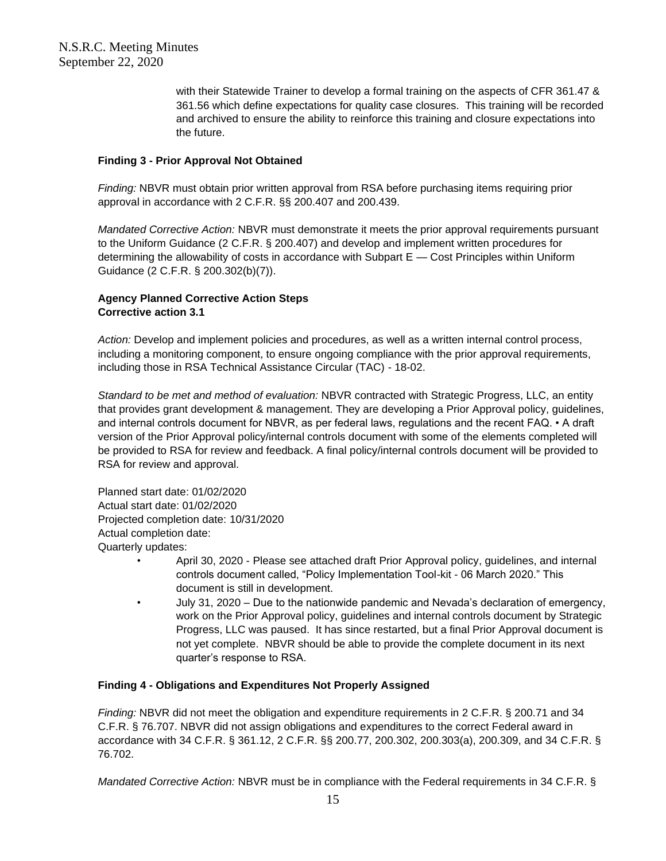with their Statewide Trainer to develop a formal training on the aspects of CFR 361.47 & 361.56 which define expectations for quality case closures. This training will be recorded and archived to ensure the ability to reinforce this training and closure expectations into the future.

#### **Finding 3 - Prior Approval Not Obtained**

*Finding:* NBVR must obtain prior written approval from RSA before purchasing items requiring prior approval in accordance with 2 C.F.R. §§ 200.407 and 200.439.

*Mandated Corrective Action:* NBVR must demonstrate it meets the prior approval requirements pursuant to the Uniform Guidance (2 C.F.R. § 200.407) and develop and implement written procedures for determining the allowability of costs in accordance with Subpart E — Cost Principles within Uniform Guidance (2 C.F.R. § 200.302(b)(7)).

## **Agency Planned Corrective Action Steps Corrective action 3.1**

*Action:* Develop and implement policies and procedures, as well as a written internal control process, including a monitoring component, to ensure ongoing compliance with the prior approval requirements, including those in RSA Technical Assistance Circular (TAC) - 18-02.

*Standard to be met and method of evaluation:* NBVR contracted with Strategic Progress, LLC, an entity that provides grant development & management. They are developing a Prior Approval policy, guidelines, and internal controls document for NBVR, as per federal laws, regulations and the recent FAQ. • A draft version of the Prior Approval policy/internal controls document with some of the elements completed will be provided to RSA for review and feedback. A final policy/internal controls document will be provided to RSA for review and approval.

Planned start date: 01/02/2020 Actual start date: 01/02/2020 Projected completion date: 10/31/2020 Actual completion date: Quarterly updates:

- April 30, 2020 Please see attached draft Prior Approval policy, guidelines, and internal controls document called, "Policy Implementation Tool-kit - 06 March 2020." This document is still in development.
- July 31, 2020 Due to the nationwide pandemic and Nevada's declaration of emergency, work on the Prior Approval policy, guidelines and internal controls document by Strategic Progress, LLC was paused. It has since restarted, but a final Prior Approval document is not yet complete. NBVR should be able to provide the complete document in its next quarter's response to RSA.

## **Finding 4 - Obligations and Expenditures Not Properly Assigned**

*Finding:* NBVR did not meet the obligation and expenditure requirements in 2 C.F.R. § 200.71 and 34 C.F.R. § 76.707. NBVR did not assign obligations and expenditures to the correct Federal award in accordance with 34 C.F.R. § 361.12, 2 C.F.R. §§ 200.77, 200.302, 200.303(a), 200.309, and 34 C.F.R. § 76.702.

*Mandated Corrective Action:* NBVR must be in compliance with the Federal requirements in 34 C.F.R. §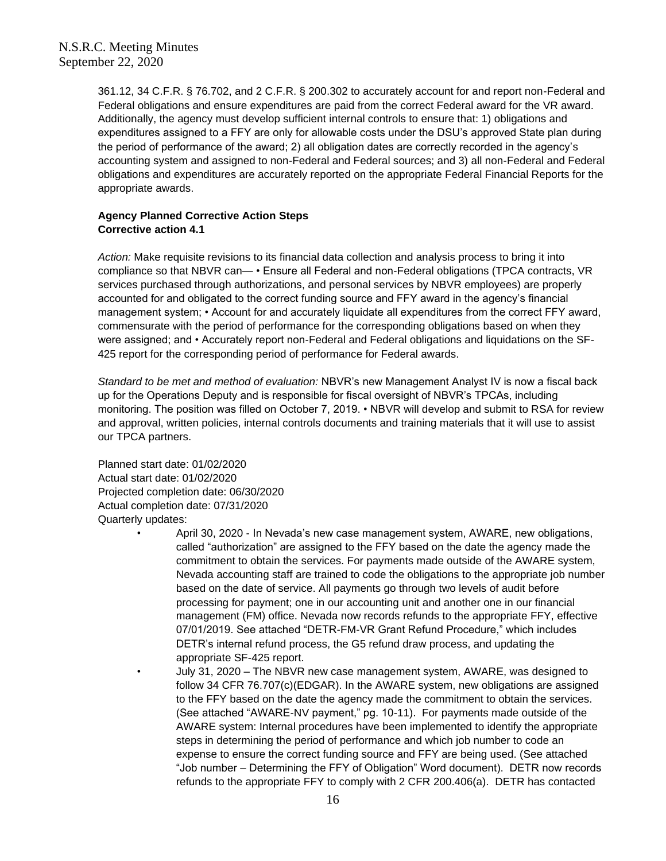361.12, 34 C.F.R. § 76.702, and 2 C.F.R. § 200.302 to accurately account for and report non-Federal and Federal obligations and ensure expenditures are paid from the correct Federal award for the VR award. Additionally, the agency must develop sufficient internal controls to ensure that: 1) obligations and expenditures assigned to a FFY are only for allowable costs under the DSU's approved State plan during the period of performance of the award; 2) all obligation dates are correctly recorded in the agency's accounting system and assigned to non-Federal and Federal sources; and 3) all non-Federal and Federal obligations and expenditures are accurately reported on the appropriate Federal Financial Reports for the appropriate awards.

# **Agency Planned Corrective Action Steps Corrective action 4.1**

*Action:* Make requisite revisions to its financial data collection and analysis process to bring it into compliance so that NBVR can— • Ensure all Federal and non-Federal obligations (TPCA contracts, VR services purchased through authorizations, and personal services by NBVR employees) are properly accounted for and obligated to the correct funding source and FFY award in the agency's financial management system; • Account for and accurately liquidate all expenditures from the correct FFY award, commensurate with the period of performance for the corresponding obligations based on when they were assigned; and • Accurately report non-Federal and Federal obligations and liquidations on the SF-425 report for the corresponding period of performance for Federal awards.

*Standard to be met and method of evaluation:* NBVR's new Management Analyst IV is now a fiscal back up for the Operations Deputy and is responsible for fiscal oversight of NBVR's TPCAs, including monitoring. The position was filled on October 7, 2019. • NBVR will develop and submit to RSA for review and approval, written policies, internal controls documents and training materials that it will use to assist our TPCA partners.

Planned start date: 01/02/2020 Actual start date: 01/02/2020 Projected completion date: 06/30/2020 Actual completion date: 07/31/2020 Quarterly updates:

- April 30, 2020 In Nevada's new case management system, AWARE, new obligations, called "authorization" are assigned to the FFY based on the date the agency made the commitment to obtain the services. For payments made outside of the AWARE system, Nevada accounting staff are trained to code the obligations to the appropriate job number based on the date of service. All payments go through two levels of audit before processing for payment; one in our accounting unit and another one in our financial management (FM) office. Nevada now records refunds to the appropriate FFY, effective 07/01/2019. See attached "DETR-FM-VR Grant Refund Procedure," which includes DETR's internal refund process, the G5 refund draw process, and updating the appropriate SF-425 report.
	- July 31, 2020 The NBVR new case management system, AWARE, was designed to follow 34 CFR 76.707(c)(EDGAR). In the AWARE system, new obligations are assigned to the FFY based on the date the agency made the commitment to obtain the services. (See attached "AWARE-NV payment," pg. 10-11). For payments made outside of the AWARE system: Internal procedures have been implemented to identify the appropriate steps in determining the period of performance and which job number to code an expense to ensure the correct funding source and FFY are being used. (See attached "Job number – Determining the FFY of Obligation" Word document). DETR now records refunds to the appropriate FFY to comply with 2 CFR 200.406(a). DETR has contacted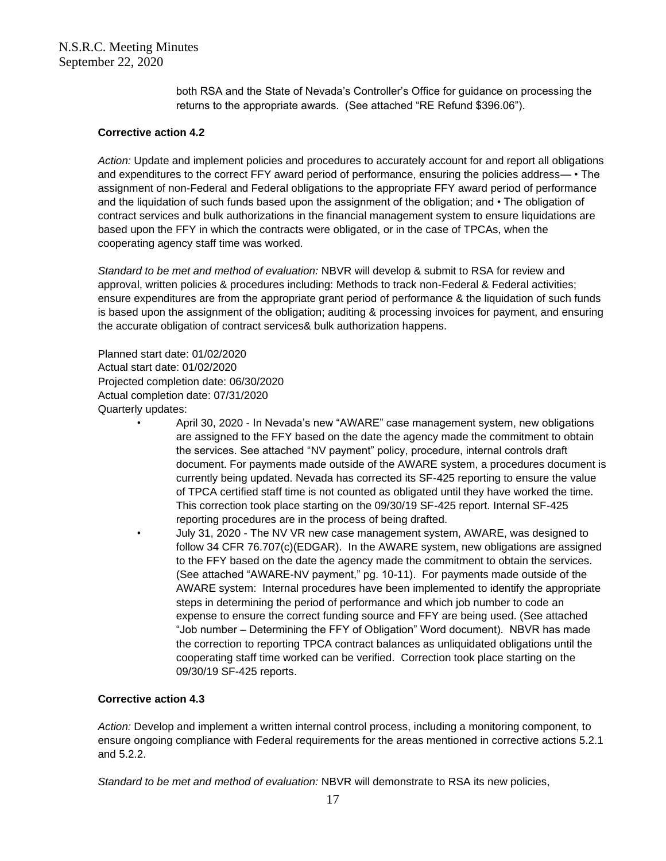both RSA and the State of Nevada's Controller's Office for guidance on processing the returns to the appropriate awards. (See attached "RE Refund \$396.06").

## **Corrective action 4.2**

*Action:* Update and implement policies and procedures to accurately account for and report all obligations and expenditures to the correct FFY award period of performance, ensuring the policies address— • The assignment of non-Federal and Federal obligations to the appropriate FFY award period of performance and the liquidation of such funds based upon the assignment of the obligation; and • The obligation of contract services and bulk authorizations in the financial management system to ensure liquidations are based upon the FFY in which the contracts were obligated, or in the case of TPCAs, when the cooperating agency staff time was worked.

*Standard to be met and method of evaluation:* NBVR will develop & submit to RSA for review and approval, written policies & procedures including: Methods to track non-Federal & Federal activities; ensure expenditures are from the appropriate grant period of performance & the liquidation of such funds is based upon the assignment of the obligation; auditing & processing invoices for payment, and ensuring the accurate obligation of contract services& bulk authorization happens.

Planned start date: 01/02/2020 Actual start date: 01/02/2020 Projected completion date: 06/30/2020 Actual completion date: 07/31/2020 Quarterly updates:

- April 30, 2020 In Nevada's new "AWARE" case management system, new obligations are assigned to the FFY based on the date the agency made the commitment to obtain the services. See attached "NV payment" policy, procedure, internal controls draft document. For payments made outside of the AWARE system, a procedures document is currently being updated. Nevada has corrected its SF-425 reporting to ensure the value of TPCA certified staff time is not counted as obligated until they have worked the time. This correction took place starting on the 09/30/19 SF-425 report. Internal SF-425 reporting procedures are in the process of being drafted.
	- July 31, 2020 The NV VR new case management system, AWARE, was designed to follow 34 CFR 76.707(c)(EDGAR). In the AWARE system, new obligations are assigned to the FFY based on the date the agency made the commitment to obtain the services. (See attached "AWARE-NV payment," pg. 10-11). For payments made outside of the AWARE system: Internal procedures have been implemented to identify the appropriate steps in determining the period of performance and which job number to code an expense to ensure the correct funding source and FFY are being used. (See attached "Job number – Determining the FFY of Obligation" Word document). NBVR has made the correction to reporting TPCA contract balances as unliquidated obligations until the cooperating staff time worked can be verified. Correction took place starting on the 09/30/19 SF-425 reports.

### **Corrective action 4.3**

*Action:* Develop and implement a written internal control process, including a monitoring component, to ensure ongoing compliance with Federal requirements for the areas mentioned in corrective actions 5.2.1 and 5.2.2.

*Standard to be met and method of evaluation:* NBVR will demonstrate to RSA its new policies,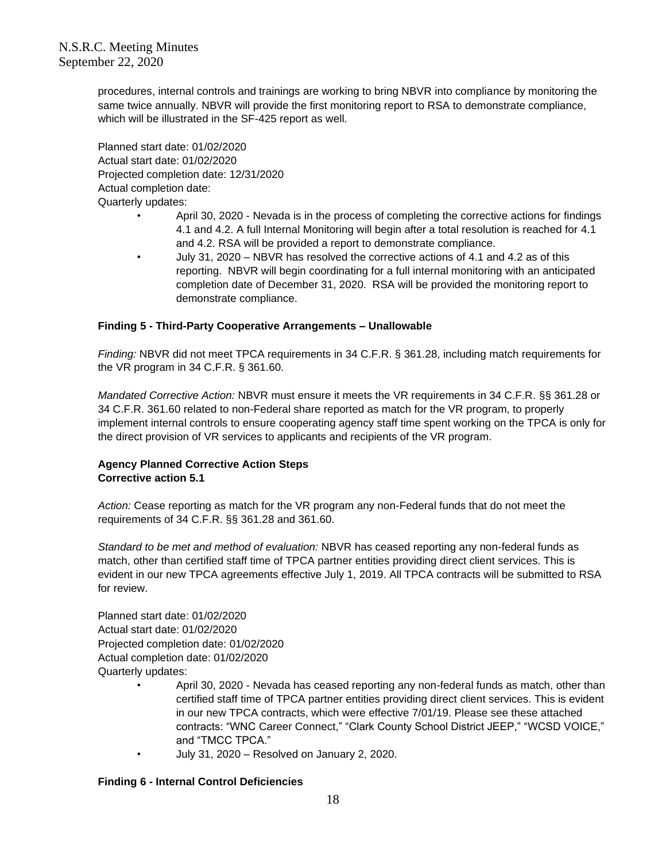procedures, internal controls and trainings are working to bring NBVR into compliance by monitoring the same twice annually. NBVR will provide the first monitoring report to RSA to demonstrate compliance, which will be illustrated in the SF-425 report as well.

Planned start date: 01/02/2020 Actual start date: 01/02/2020 Projected completion date: 12/31/2020 Actual completion date: Quarterly updates:

- April 30, 2020 Nevada is in the process of completing the corrective actions for findings 4.1 and 4.2. A full Internal Monitoring will begin after a total resolution is reached for 4.1 and 4.2. RSA will be provided a report to demonstrate compliance.
- July 31, 2020 NBVR has resolved the corrective actions of 4.1 and 4.2 as of this reporting. NBVR will begin coordinating for a full internal monitoring with an anticipated completion date of December 31, 2020. RSA will be provided the monitoring report to demonstrate compliance.

## **Finding 5 - Third-Party Cooperative Arrangements – Unallowable**

*Finding:* NBVR did not meet TPCA requirements in 34 C.F.R. § 361.28, including match requirements for the VR program in 34 C.F.R. § 361.60.

*Mandated Corrective Action:* NBVR must ensure it meets the VR requirements in 34 C.F.R. §§ 361.28 or 34 C.F.R. 361.60 related to non-Federal share reported as match for the VR program, to properly implement internal controls to ensure cooperating agency staff time spent working on the TPCA is only for the direct provision of VR services to applicants and recipients of the VR program.

# **Agency Planned Corrective Action Steps Corrective action 5.1**

*Action:* Cease reporting as match for the VR program any non-Federal funds that do not meet the requirements of 34 C.F.R. §§ 361.28 and 361.60.

*Standard to be met and method of evaluation:* NBVR has ceased reporting any non-federal funds as match, other than certified staff time of TPCA partner entities providing direct client services. This is evident in our new TPCA agreements effective July 1, 2019. All TPCA contracts will be submitted to RSA for review.

Planned start date: 01/02/2020 Actual start date: 01/02/2020 Projected completion date: 01/02/2020 Actual completion date: 01/02/2020 Quarterly updates:

- April 30, 2020 Nevada has ceased reporting any non-federal funds as match, other than certified staff time of TPCA partner entities providing direct client services. This is evident in our new TPCA contracts, which were effective 7/01/19. Please see these attached contracts: "WNC Career Connect," "Clark County School District JEEP," "WCSD VOICE," and "TMCC TPCA."
- July 31, 2020 Resolved on January 2, 2020.

### **Finding 6 - Internal Control Deficiencies**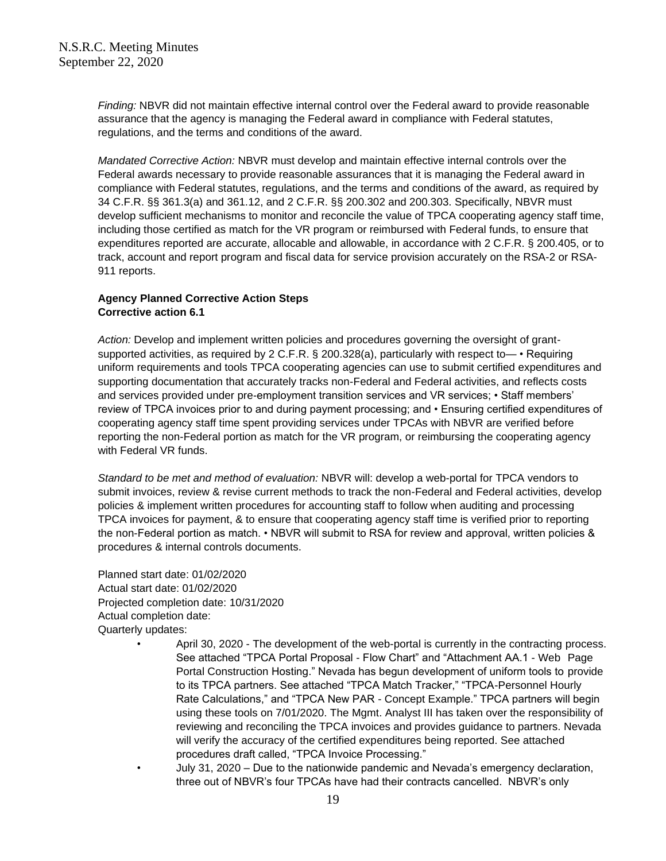*Finding:* NBVR did not maintain effective internal control over the Federal award to provide reasonable assurance that the agency is managing the Federal award in compliance with Federal statutes, regulations, and the terms and conditions of the award.

*Mandated Corrective Action:* NBVR must develop and maintain effective internal controls over the Federal awards necessary to provide reasonable assurances that it is managing the Federal award in compliance with Federal statutes, regulations, and the terms and conditions of the award, as required by 34 C.F.R. §§ 361.3(a) and 361.12, and 2 C.F.R. §§ 200.302 and 200.303. Specifically, NBVR must develop sufficient mechanisms to monitor and reconcile the value of TPCA cooperating agency staff time, including those certified as match for the VR program or reimbursed with Federal funds, to ensure that expenditures reported are accurate, allocable and allowable, in accordance with 2 C.F.R. § 200.405, or to track, account and report program and fiscal data for service provision accurately on the RSA-2 or RSA-911 reports.

## **Agency Planned Corrective Action Steps Corrective action 6.1**

*Action:* Develop and implement written policies and procedures governing the oversight of grantsupported activities, as required by 2 C.F.R. § 200.328(a), particularly with respect to— • Requiring uniform requirements and tools TPCA cooperating agencies can use to submit certified expenditures and supporting documentation that accurately tracks non-Federal and Federal activities, and reflects costs and services provided under pre-employment transition services and VR services; • Staff members' review of TPCA invoices prior to and during payment processing; and • Ensuring certified expenditures of cooperating agency staff time spent providing services under TPCAs with NBVR are verified before reporting the non-Federal portion as match for the VR program, or reimbursing the cooperating agency with Federal VR funds.

*Standard to be met and method of evaluation:* NBVR will: develop a web-portal for TPCA vendors to submit invoices, review & revise current methods to track the non-Federal and Federal activities, develop policies & implement written procedures for accounting staff to follow when auditing and processing TPCA invoices for payment, & to ensure that cooperating agency staff time is verified prior to reporting the non-Federal portion as match. • NBVR will submit to RSA for review and approval, written policies & procedures & internal controls documents.

Planned start date: 01/02/2020 Actual start date: 01/02/2020 Projected completion date: 10/31/2020 Actual completion date: Quarterly updates:

- April 30, 2020 The development of the web-portal is currently in the contracting process. See attached "TPCA Portal Proposal - Flow Chart" and "Attachment AA.1 - Web Page Portal Construction Hosting." Nevada has begun development of uniform tools to provide to its TPCA partners. See attached "TPCA Match Tracker," "TPCA-Personnel Hourly Rate Calculations," and "TPCA New PAR - Concept Example." TPCA partners will begin using these tools on 7/01/2020. The Mgmt. Analyst III has taken over the responsibility of reviewing and reconciling the TPCA invoices and provides guidance to partners. Nevada will verify the accuracy of the certified expenditures being reported. See attached procedures draft called, "TPCA Invoice Processing."
- July 31, 2020 Due to the nationwide pandemic and Nevada's emergency declaration, three out of NBVR's four TPCAs have had their contracts cancelled. NBVR's only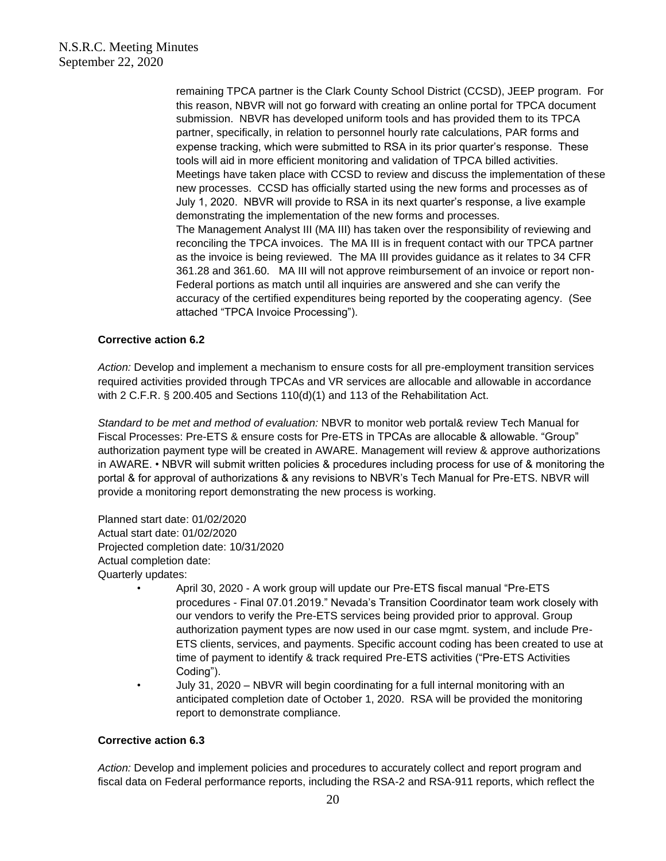remaining TPCA partner is the Clark County School District (CCSD), JEEP program. For this reason, NBVR will not go forward with creating an online portal for TPCA document submission. NBVR has developed uniform tools and has provided them to its TPCA partner, specifically, in relation to personnel hourly rate calculations, PAR forms and expense tracking, which were submitted to RSA in its prior quarter's response. These tools will aid in more efficient monitoring and validation of TPCA billed activities. Meetings have taken place with CCSD to review and discuss the implementation of these new processes. CCSD has officially started using the new forms and processes as of July 1, 2020. NBVR will provide to RSA in its next quarter's response, a live example demonstrating the implementation of the new forms and processes. The Management Analyst III (MA III) has taken over the responsibility of reviewing and reconciling the TPCA invoices. The MA III is in frequent contact with our TPCA partner as the invoice is being reviewed. The MA III provides guidance as it relates to 34 CFR 361.28 and 361.60. MA III will not approve reimbursement of an invoice or report non-Federal portions as match until all inquiries are answered and she can verify the accuracy of the certified expenditures being reported by the cooperating agency. (See attached "TPCA Invoice Processing").

### **Corrective action 6.2**

*Action:* Develop and implement a mechanism to ensure costs for all pre-employment transition services required activities provided through TPCAs and VR services are allocable and allowable in accordance with 2 C.F.R. § 200.405 and Sections 110(d)(1) and 113 of the Rehabilitation Act.

*Standard to be met and method of evaluation:* NBVR to monitor web portal& review Tech Manual for Fiscal Processes: Pre-ETS & ensure costs for Pre-ETS in TPCAs are allocable & allowable. "Group" authorization payment type will be created in AWARE. Management will review & approve authorizations in AWARE. • NBVR will submit written policies & procedures including process for use of & monitoring the portal & for approval of authorizations & any revisions to NBVR's Tech Manual for Pre-ETS. NBVR will provide a monitoring report demonstrating the new process is working.

Planned start date: 01/02/2020 Actual start date: 01/02/2020 Projected completion date: 10/31/2020 Actual completion date: Quarterly updates:

- April 30, 2020 A work group will update our Pre-ETS fiscal manual "Pre-ETS procedures - Final 07.01.2019." Nevada's Transition Coordinator team work closely with our vendors to verify the Pre-ETS services being provided prior to approval. Group authorization payment types are now used in our case mgmt. system, and include Pre-ETS clients, services, and payments. Specific account coding has been created to use at time of payment to identify & track required Pre-ETS activities ("Pre-ETS Activities Coding").
- July 31, 2020 NBVR will begin coordinating for a full internal monitoring with an anticipated completion date of October 1, 2020. RSA will be provided the monitoring report to demonstrate compliance.

#### **Corrective action 6.3**

*Action:* Develop and implement policies and procedures to accurately collect and report program and fiscal data on Federal performance reports, including the RSA-2 and RSA-911 reports, which reflect the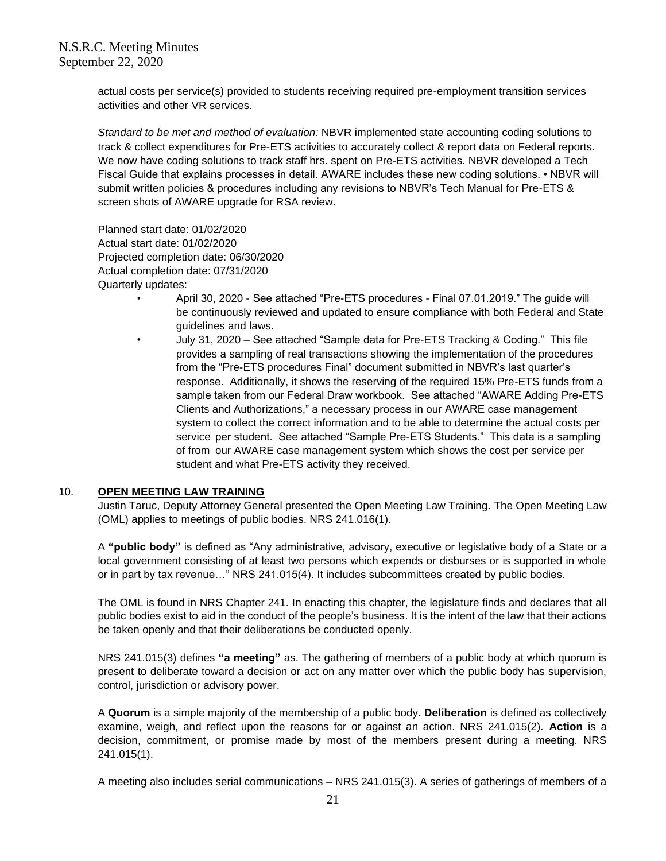actual costs per service(s) provided to students receiving required pre-employment transition services activities and other VR services.

*Standard to be met and method of evaluation:* NBVR implemented state accounting coding solutions to track & collect expenditures for Pre-ETS activities to accurately collect & report data on Federal reports. We now have coding solutions to track staff hrs. spent on Pre-ETS activities. NBVR developed a Tech Fiscal Guide that explains processes in detail. AWARE includes these new coding solutions. • NBVR will submit written policies & procedures including any revisions to NBVR's Tech Manual for Pre-ETS & screen shots of AWARE upgrade for RSA review.

Planned start date: 01/02/2020 Actual start date: 01/02/2020 Projected completion date: 06/30/2020 Actual completion date: 07/31/2020 Quarterly updates:

- April 30, 2020 See attached "Pre-ETS procedures Final 07.01.2019." The guide will be continuously reviewed and updated to ensure compliance with both Federal and State guidelines and laws.
- July 31, 2020 See attached "Sample data for Pre-ETS Tracking & Coding." This file provides a sampling of real transactions showing the implementation of the procedures from the "Pre-ETS procedures Final" document submitted in NBVR's last quarter's response. Additionally, it shows the reserving of the required 15% Pre-ETS funds from a sample taken from our Federal Draw workbook. See attached "AWARE Adding Pre-ETS Clients and Authorizations," a necessary process in our AWARE case management system to collect the correct information and to be able to determine the actual costs per service per student. See attached "Sample Pre-ETS Students." This data is a sampling of from our AWARE case management system which shows the cost per service per student and what Pre-ETS activity they received.

#### 10. **OPEN MEETING LAW TRAINING**

Justin Taruc, Deputy Attorney General presented the Open Meeting Law Training. The Open Meeting Law (OML) applies to meetings of public bodies. NRS 241.016(1).

A **"public body"** is defined as "Any administrative, advisory, executive or legislative body of a State or a local government consisting of at least two persons which expends or disburses or is supported in whole or in part by tax revenue…" NRS 241.015(4). It includes subcommittees created by public bodies.

The OML is found in NRS Chapter 241. In enacting this chapter, the legislature finds and declares that all public bodies exist to aid in the conduct of the people's business. It is the intent of the law that their actions be taken openly and that their deliberations be conducted openly.

NRS 241.015(3) defines **"a meeting"** as. The gathering of members of a public body at which quorum is present to deliberate toward a decision or act on any matter over which the public body has supervision, control, jurisdiction or advisory power.

A **Quorum** is a simple majority of the membership of a public body. **Deliberation** is defined as collectively examine, weigh, and reflect upon the reasons for or against an action. NRS 241.015(2). **Action** is a decision, commitment, or promise made by most of the members present during a meeting. NRS 241.015(1).

A meeting also includes serial communications – NRS 241.015(3). A series of gatherings of members of a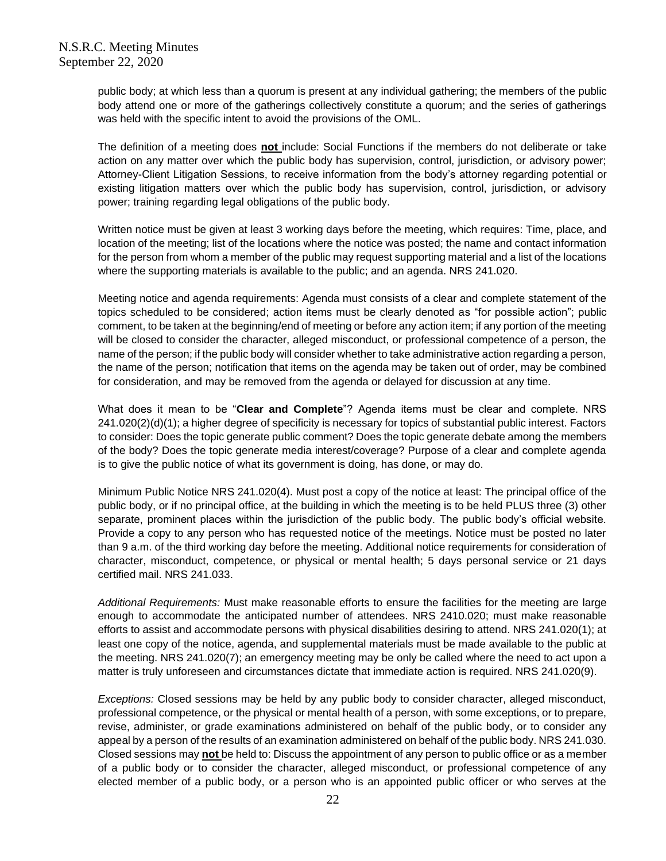public body; at which less than a quorum is present at any individual gathering; the members of the public body attend one or more of the gatherings collectively constitute a quorum; and the series of gatherings was held with the specific intent to avoid the provisions of the OML.

The definition of a meeting does **not** include: Social Functions if the members do not deliberate or take action on any matter over which the public body has supervision, control, jurisdiction, or advisory power; Attorney-Client Litigation Sessions, to receive information from the body's attorney regarding potential or existing litigation matters over which the public body has supervision, control, jurisdiction, or advisory power; training regarding legal obligations of the public body.

Written notice must be given at least 3 working days before the meeting, which requires: Time, place, and location of the meeting; list of the locations where the notice was posted; the name and contact information for the person from whom a member of the public may request supporting material and a list of the locations where the supporting materials is available to the public; and an agenda. NRS 241.020.

Meeting notice and agenda requirements: Agenda must consists of a clear and complete statement of the topics scheduled to be considered; action items must be clearly denoted as "for possible action"; public comment, to be taken at the beginning/end of meeting or before any action item; if any portion of the meeting will be closed to consider the character, alleged misconduct, or professional competence of a person, the name of the person; if the public body will consider whether to take administrative action regarding a person, the name of the person; notification that items on the agenda may be taken out of order, may be combined for consideration, and may be removed from the agenda or delayed for discussion at any time.

What does it mean to be "**Clear and Complete**"? Agenda items must be clear and complete. NRS 241.020(2)(d)(1); a higher degree of specificity is necessary for topics of substantial public interest. Factors to consider: Does the topic generate public comment? Does the topic generate debate among the members of the body? Does the topic generate media interest/coverage? Purpose of a clear and complete agenda is to give the public notice of what its government is doing, has done, or may do.

Minimum Public Notice NRS 241.020(4). Must post a copy of the notice at least: The principal office of the public body, or if no principal office, at the building in which the meeting is to be held PLUS three (3) other separate, prominent places within the jurisdiction of the public body. The public body's official website. Provide a copy to any person who has requested notice of the meetings. Notice must be posted no later than 9 a.m. of the third working day before the meeting. Additional notice requirements for consideration of character, misconduct, competence, or physical or mental health; 5 days personal service or 21 days certified mail. NRS 241.033.

*Additional Requirements:* Must make reasonable efforts to ensure the facilities for the meeting are large enough to accommodate the anticipated number of attendees. NRS 2410.020; must make reasonable efforts to assist and accommodate persons with physical disabilities desiring to attend. NRS 241.020(1); at least one copy of the notice, agenda, and supplemental materials must be made available to the public at the meeting. NRS 241.020(7); an emergency meeting may be only be called where the need to act upon a matter is truly unforeseen and circumstances dictate that immediate action is required. NRS 241.020(9).

*Exceptions:* Closed sessions may be held by any public body to consider character, alleged misconduct, professional competence, or the physical or mental health of a person, with some exceptions, or to prepare, revise, administer, or grade examinations administered on behalf of the public body, or to consider any appeal by a person of the results of an examination administered on behalf of the public body. NRS 241.030. Closed sessions may **not** be held to: Discuss the appointment of any person to public office or as a member of a public body or to consider the character, alleged misconduct, or professional competence of any elected member of a public body, or a person who is an appointed public officer or who serves at the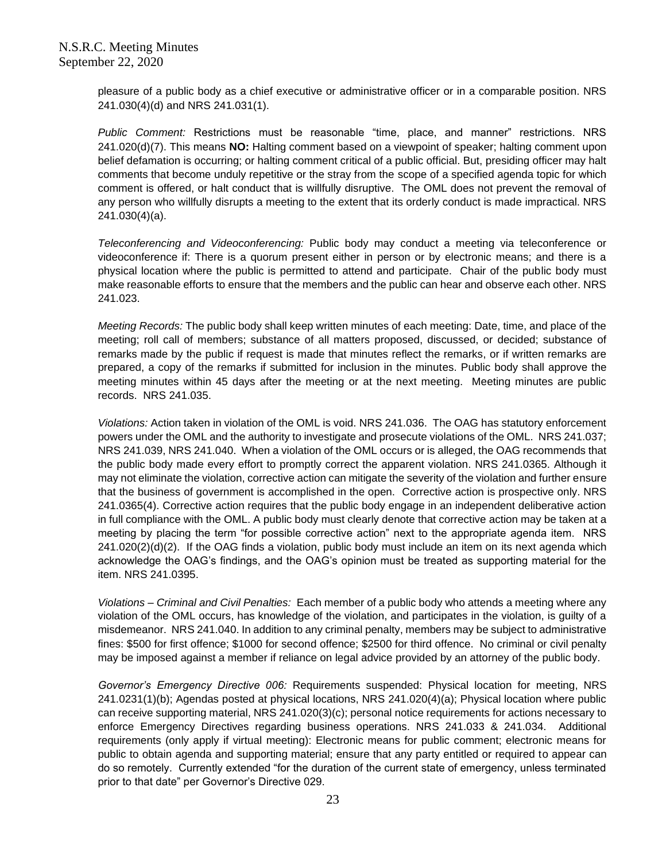pleasure of a public body as a chief executive or administrative officer or in a comparable position. NRS 241.030(4)(d) and NRS 241.031(1).

*Public Comment:* Restrictions must be reasonable "time, place, and manner" restrictions. NRS 241.020(d)(7). This means **NO:** Halting comment based on a viewpoint of speaker; halting comment upon belief defamation is occurring; or halting comment critical of a public official. But, presiding officer may halt comments that become unduly repetitive or the stray from the scope of a specified agenda topic for which comment is offered, or halt conduct that is willfully disruptive. The OML does not prevent the removal of any person who willfully disrupts a meeting to the extent that its orderly conduct is made impractical. NRS 241.030(4)(a).

*Teleconferencing and Videoconferencing:* Public body may conduct a meeting via teleconference or videoconference if: There is a quorum present either in person or by electronic means; and there is a physical location where the public is permitted to attend and participate. Chair of the public body must make reasonable efforts to ensure that the members and the public can hear and observe each other. NRS 241.023.

*Meeting Records:* The public body shall keep written minutes of each meeting: Date, time, and place of the meeting; roll call of members; substance of all matters proposed, discussed, or decided; substance of remarks made by the public if request is made that minutes reflect the remarks, or if written remarks are prepared, a copy of the remarks if submitted for inclusion in the minutes. Public body shall approve the meeting minutes within 45 days after the meeting or at the next meeting. Meeting minutes are public records. NRS 241.035.

*Violations:* Action taken in violation of the OML is void. NRS 241.036. The OAG has statutory enforcement powers under the OML and the authority to investigate and prosecute violations of the OML. NRS 241.037; NRS 241.039, NRS 241.040. When a violation of the OML occurs or is alleged, the OAG recommends that the public body made every effort to promptly correct the apparent violation. NRS 241.0365. Although it may not eliminate the violation, corrective action can mitigate the severity of the violation and further ensure that the business of government is accomplished in the open. Corrective action is prospective only. NRS 241.0365(4). Corrective action requires that the public body engage in an independent deliberative action in full compliance with the OML. A public body must clearly denote that corrective action may be taken at a meeting by placing the term "for possible corrective action" next to the appropriate agenda item. NRS 241.020(2)(d)(2). If the OAG finds a violation, public body must include an item on its next agenda which acknowledge the OAG's findings, and the OAG's opinion must be treated as supporting material for the item. NRS 241.0395.

*Violations – Criminal and Civil Penalties:* Each member of a public body who attends a meeting where any violation of the OML occurs, has knowledge of the violation, and participates in the violation, is guilty of a misdemeanor. NRS 241.040. In addition to any criminal penalty, members may be subject to administrative fines: \$500 for first offence; \$1000 for second offence; \$2500 for third offence. No criminal or civil penalty may be imposed against a member if reliance on legal advice provided by an attorney of the public body.

*Governor's Emergency Directive 006:* Requirements suspended: Physical location for meeting, NRS 241.0231(1)(b); Agendas posted at physical locations, NRS 241.020(4)(a); Physical location where public can receive supporting material, NRS 241.020(3)(c); personal notice requirements for actions necessary to enforce Emergency Directives regarding business operations. NRS 241.033 & 241.034. Additional requirements (only apply if virtual meeting): Electronic means for public comment; electronic means for public to obtain agenda and supporting material; ensure that any party entitled or required to appear can do so remotely. Currently extended "for the duration of the current state of emergency, unless terminated prior to that date" per Governor's Directive 029.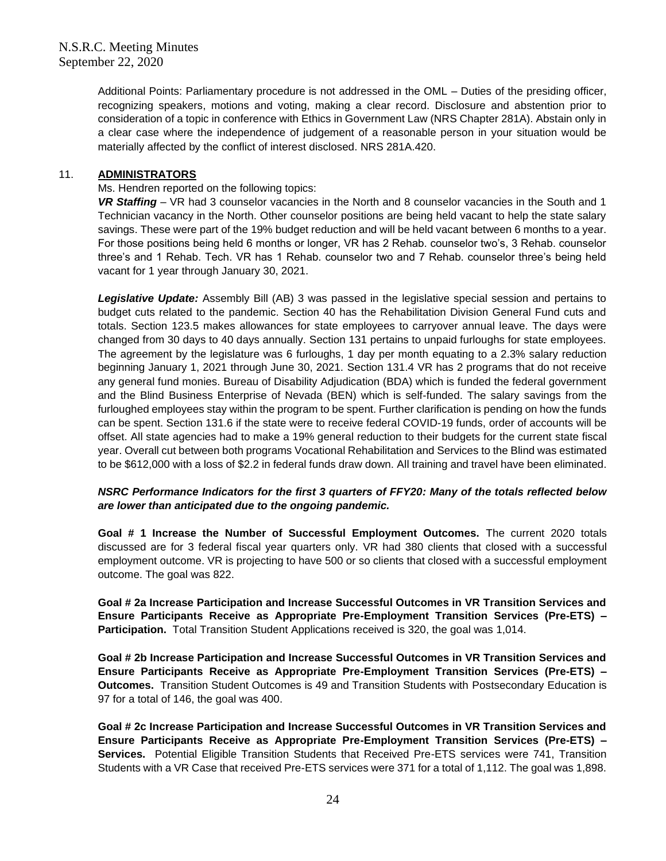Additional Points: Parliamentary procedure is not addressed in the OML – Duties of the presiding officer, recognizing speakers, motions and voting, making a clear record. Disclosure and abstention prior to consideration of a topic in conference with Ethics in Government Law (NRS Chapter 281A). Abstain only in a clear case where the independence of judgement of a reasonable person in your situation would be materially affected by the conflict of interest disclosed. NRS 281A.420.

### 11. **ADMINISTRATORS**

Ms. Hendren reported on the following topics:

*VR Staffing* – VR had 3 counselor vacancies in the North and 8 counselor vacancies in the South and 1 Technician vacancy in the North. Other counselor positions are being held vacant to help the state salary savings. These were part of the 19% budget reduction and will be held vacant between 6 months to a year. For those positions being held 6 months or longer, VR has 2 Rehab. counselor two's, 3 Rehab. counselor three's and 1 Rehab. Tech. VR has 1 Rehab. counselor two and 7 Rehab. counselor three's being held vacant for 1 year through January 30, 2021.

*Legislative Update:* Assembly Bill (AB) 3 was passed in the legislative special session and pertains to budget cuts related to the pandemic. Section 40 has the Rehabilitation Division General Fund cuts and totals. Section 123.5 makes allowances for state employees to carryover annual leave. The days were changed from 30 days to 40 days annually. Section 131 pertains to unpaid furloughs for state employees. The agreement by the legislature was 6 furloughs, 1 day per month equating to a 2.3% salary reduction beginning January 1, 2021 through June 30, 2021. Section 131.4 VR has 2 programs that do not receive any general fund monies. Bureau of Disability Adjudication (BDA) which is funded the federal government and the Blind Business Enterprise of Nevada (BEN) which is self-funded. The salary savings from the furloughed employees stay within the program to be spent. Further clarification is pending on how the funds can be spent. Section 131.6 if the state were to receive federal COVID-19 funds, order of accounts will be offset. All state agencies had to make a 19% general reduction to their budgets for the current state fiscal year. Overall cut between both programs Vocational Rehabilitation and Services to the Blind was estimated to be \$612,000 with a loss of \$2.2 in federal funds draw down. All training and travel have been eliminated.

### *NSRC Performance Indicators for the first 3 quarters of FFY20: Many of the totals reflected below are lower than anticipated due to the ongoing pandemic.*

**Goal # 1 Increase the Number of Successful Employment Outcomes.** The current 2020 totals discussed are for 3 federal fiscal year quarters only. VR had 380 clients that closed with a successful employment outcome. VR is projecting to have 500 or so clients that closed with a successful employment outcome. The goal was 822.

**Goal # 2a Increase Participation and Increase Successful Outcomes in VR Transition Services and Ensure Participants Receive as Appropriate Pre-Employment Transition Services (Pre-ETS) – Participation.** Total Transition Student Applications received is 320, the goal was 1,014.

**Goal # 2b Increase Participation and Increase Successful Outcomes in VR Transition Services and Ensure Participants Receive as Appropriate Pre-Employment Transition Services (Pre-ETS) – Outcomes.** Transition Student Outcomes is 49 and Transition Students with Postsecondary Education is 97 for a total of 146, the goal was 400.

**Goal # 2c Increase Participation and Increase Successful Outcomes in VR Transition Services and Ensure Participants Receive as Appropriate Pre-Employment Transition Services (Pre-ETS) – Services.** Potential Eligible Transition Students that Received Pre-ETS services were 741, Transition Students with a VR Case that received Pre-ETS services were 371 for a total of 1,112. The goal was 1,898.